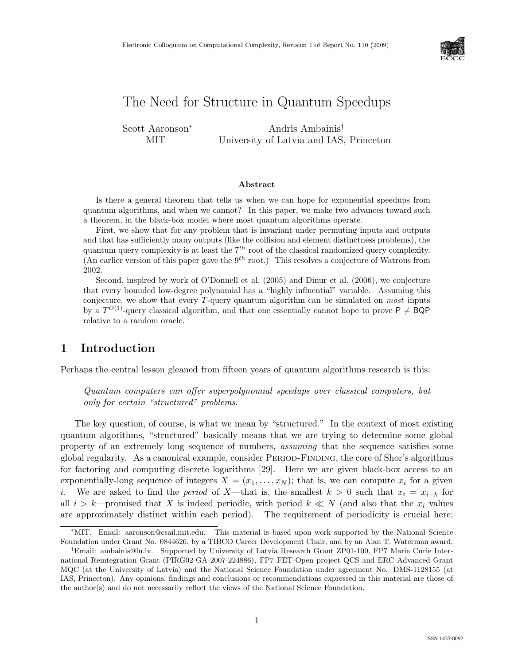

# The Need for Structure in Quantum Speedups

Scott Aaronson<sup>∗</sup> MIT

Andris Ambainis† University of Latvia and IAS, Princeton

### Abstract

Is there a general theorem that tells us when we can hope for exponential speedups from quantum algorithms, and when we cannot? In this paper, we make two advances toward such a theorem, in the black-box model where most quantum algorithms operate.

First, we show that for any problem that is invariant under permuting inputs and outputs and that has sufficiently many outputs (like the collision and element distinctness problems), the quantum query complexity is at least the  $7<sup>th</sup>$  root of the classical randomized query complexity. (An earlier version of this paper gave the  $9<sup>th</sup>$  root.) This resolves a conjecture of Watrous from 2002.

Second, inspired by work of O'Donnell et al. (2005) and Dinur et al. (2006), we conjecture that every bounded low-degree polynomial has a "highly influential" variable. Assuming this conjecture, we show that every  $T$ -query quantum algorithm can be simulated on *most* inputs by a  $T^{O(1)}$ -query classical algorithm, and that one essentially cannot hope to prove  $P \neq BQP$ relative to a random oracle.

## 1 Introduction

Perhaps the central lesson gleaned from fifteen years of quantum algorithms research is this:

Quantum computers can offer superpolynomial speedups over classical computers, but only for certain "structured" problems.

The key question, of course, is what we mean by "structured." In the context of most existing quantum algorithms, "structured" basically means that we are trying to determine some global property of an extremely long sequence of numbers, assuming that the sequence satisfies some global regularity. As a canonical example, consider Period-Finding, the core of Shor's algorithms for factoring and computing discrete logarithms [29]. Here we are given black-box access to an exponentially-long sequence of integers  $X = (x_1, \ldots, x_N)$ ; that is, we can compute  $x_i$  for a given i. We are asked to find the *period* of X—that is, the smallest  $k > 0$  such that  $x_i = x_{i-k}$  for all  $i > k$ —promised that X is indeed periodic, with period  $k \ll N$  (and also that the  $x_i$  values are approximately distinct within each period). The requirement of periodicity is crucial here:

<sup>∗</sup>MIT. Email: aaronson@csail.mit.edu. This material is based upon work supported by the National Science Foundation under Grant No. 0844626, by a TIBCO Career Development Chair, and by an Alan T. Waterman award.

<sup>†</sup>Email: ambainis@lu.lv. Supported by University of Latvia Research Grant ZP01-100, FP7 Marie Curie International Reintegration Grant (PIRG02-GA-2007-224886), FP7 FET-Open project QCS and ERC Advanced Grant MQC (at the University of Latvia) and the National Science Foundation under agreement No. DMS-1128155 (at IAS, Princeton). Any opinions, findings and conclusions or recommendations expressed in this material are those of the author(s) and do not necessarily reflect the views of the National Science Foundation.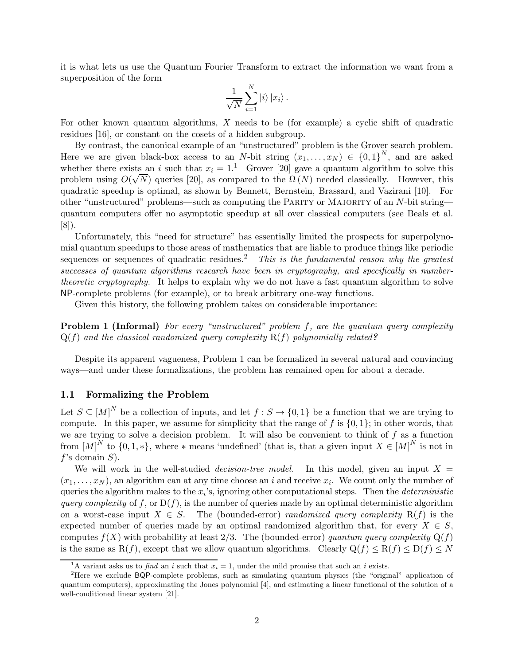it is what lets us use the Quantum Fourier Transform to extract the information we want from a superposition of the form

$$
\frac{1}{\sqrt{N}}\sum_{i=1}^N|i\rangle\,|x_i\rangle\,.
$$

For other known quantum algorithms, X needs to be (for example) a cyclic shift of quadratic residues [16], or constant on the cosets of a hidden subgroup.

By contrast, the canonical example of an "unstructured" problem is the Grover search problem. Here we are given black-box access to an N-bit string  $(x_1, \ldots, x_N) \in \{0,1\}^N$ , and are asked whether there exists an i such that  $x_i = 1$ .<sup>1</sup> Grover [20] gave a quantum algorithm to solve this problem using  $O(\sqrt{N})$  queries [20], as compared to the  $\Omega(N)$  needed classically. However, this quadratic speedup is optimal, as shown by Bennett, Bernstein, Brassard, and Vazirani [10]. For other "unstructured" problems—such as computing the Parity or Majority of an N-bit string quantum computers offer no asymptotic speedup at all over classical computers (see Beals et al. [8]).

Unfortunately, this "need for structure" has essentially limited the prospects for superpolynomial quantum speedups to those areas of mathematics that are liable to produce things like periodic sequences or sequences of quadratic residues.<sup>2</sup> This is the fundamental reason why the greatest successes of quantum algorithms research have been in cryptography, and specifically in numbertheoretic cryptography. It helps to explain why we do not have a fast quantum algorithm to solve NP-complete problems (for example), or to break arbitrary one-way functions.

Given this history, the following problem takes on considerable importance:

**Problem 1 (Informal)** For every "unstructured" problem  $f$ , are the quantum query complexity  $Q(f)$  and the classical randomized query complexity  $R(f)$  polynomially related?

Despite its apparent vagueness, Problem 1 can be formalized in several natural and convincing ways—and under these formalizations, the problem has remained open for about a decade.

### 1.1 Formalizing the Problem

Let  $S \subseteq [M]^N$  be a collection of inputs, and let  $f : S \to \{0,1\}$  be a function that we are trying to compute. In this paper, we assume for simplicity that the range of  $f$  is  $\{0, 1\}$ ; in other words, that we are trying to solve a decision problem. It will also be convenient to think of  $f$  as a function from  $[M]^N$  to  $\{0,1,*\}$ , where \* means 'undefined' (that is, that a given input  $X \in [M]^N$  is not in  $f$ 's domain  $S$ ).

We will work in the well-studied *decision-tree model*. In this model, given an input  $X =$  $(x_1, \ldots, x_N)$ , an algorithm can at any time choose an i and receive  $x_i$ . We count only the number of queries the algorithm makes to the  $x_i$ 's, ignoring other computational steps. Then the *deterministic* query complexity of f, or  $D(f)$ , is the number of queries made by an optimal deterministic algorithm on a worst-case input  $X \in S$ . The (bounded-error) *randomized query complexity*  $R(f)$  is the expected number of queries made by an optimal randomized algorithm that, for every  $X \in S$ , computes  $f(X)$  with probability at least 2/3. The (bounded-error) quantum query complexity  $Q(f)$ is the same as  $R(f)$ , except that we allow quantum algorithms. Clearly  $Q(f) \leq R(f) \leq D(f) \leq N$ 

<sup>&</sup>lt;sup>1</sup>A variant asks us to *find* an *i* such that  $x_i = 1$ , under the mild promise that such an *i* exists.

<sup>2</sup>Here we exclude BQP-complete problems, such as simulating quantum physics (the "original" application of quantum computers), approximating the Jones polynomial [4], and estimating a linear functional of the solution of a well-conditioned linear system [21].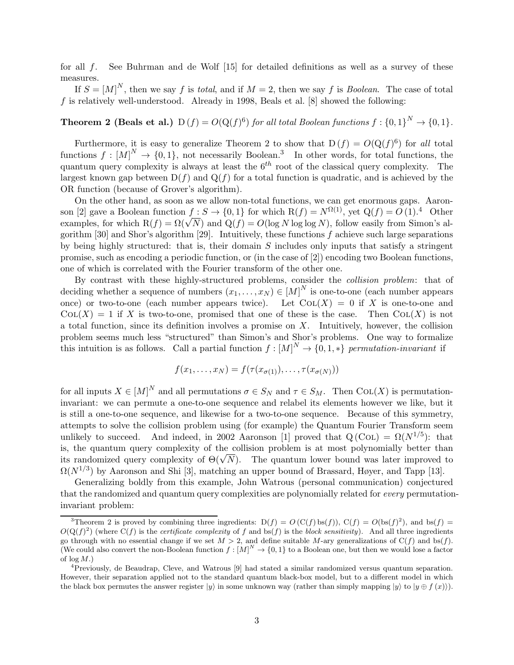for all f. See Buhrman and de Wolf [15] for detailed definitions as well as a survey of these measures.

If  $S = [M]^N$ , then we say f is total, and if  $M = 2$ , then we say f is Boolean. The case of total  $f$  is relatively well-understood. Already in 1998, Beals et al. [8] showed the following:

# **Theorem 2 (Beals et al.)**  $D(f) = O(Q(f)^6)$  for all total Boolean functions  $f : \{0,1\}^N \to \{0,1\}$ .

Furthermore, it is easy to generalize Theorem 2 to show that  $D(f) = O(Q(f)^6)$  for all total functions  $f : [M]^N \to \{0, 1\}$ , not necessarily Boolean.<sup>3</sup> In other words, for total functions, the quantum query complexity is always at least the  $6<sup>th</sup>$  root of the classical query complexity. The largest known gap between  $D(f)$  and  $Q(f)$  for a total function is quadratic, and is achieved by the OR function (because of Grover's algorithm).

On the other hand, as soon as we allow non-total functions, we can get enormous gaps. Aaronson [2] gave a Boolean function  $f : S \to \{0, 1\}$  for which  $R(f) = N^{\Omega(1)}$ , yet  $Q(f) = O(1)^{4}$  Other examples, for which  $R(f) = \Omega(\sqrt{N})$  and  $Q(f) = O(\log N \log \log N)$ , follow easily from Simon's algorithm [30] and Shor's algorithm [29]. Intuitively, these functions f achieve such large separations by being highly structured: that is, their domain  $S$  includes only inputs that satisfy a stringent promise, such as encoding a periodic function, or (in the case of [2]) encoding two Boolean functions, one of which is correlated with the Fourier transform of the other one.

By contrast with these highly-structured problems, consider the collision problem: that of deciding whether a sequence of numbers  $(x_1, \ldots, x_N) \in [M]^N$  is one-to-one (each number appears once) or two-to-one (each number appears twice). Let  $\text{Col}(X) = 0$  if X is one-to-one and  $\text{Col}(X) = 1$  if X is two-to-one, promised that one of these is the case. Then  $\text{Col}(X)$  is not a total function, since its definition involves a promise on  $X$ . Intuitively, however, the collision problem seems much less "structured" than Simon's and Shor's problems. One way to formalize this intuition is as follows. Call a partial function  $f : [M]^N \to \{0, 1, *\}$  permutation-invariant if

$$
f(x_1,\ldots,x_N)=f(\tau(x_{\sigma(1)}),\ldots,\tau(x_{\sigma(N)}))
$$

for all inputs  $X \in [M]^N$  and all permutations  $\sigma \in S_N$  and  $\tau \in S_M$ . Then COL(X) is permutationinvariant: we can permute a one-to-one sequence and relabel its elements however we like, but it is still a one-to-one sequence, and likewise for a two-to-one sequence. Because of this symmetry, attempts to solve the collision problem using (for example) the Quantum Fourier Transform seem unlikely to succeed. And indeed, in 2002 Aaronson [1] proved that  $Q(C_{OL}) = \Omega(N^{1/5})$ : that is, the quantum query complexity of the collision problem is at most polynomially better than its randomized query complexity of  $\Theta(\sqrt{N})$ . The quantum lower bound was later improved to  $\Omega(N^{1/3})$  by Aaronson and Shi [3], matching an upper bound of Brassard, Høyer, and Tapp [13].

Generalizing boldly from this example, John Watrous (personal communication) conjectured that the randomized and quantum query complexities are polynomially related for every permutationinvariant problem:

<sup>&</sup>lt;sup>3</sup>Theorem 2 is proved by combining three ingredients:  $D(f) = O(C(f) \log(f))$ ,  $C(f) = O(\log(f)^2)$ , and  $\log(f) =$  $O(Q(f)^2)$  (where  $C(f)$  is the *certificate complexity* of f and bs(f) is the block sensitivity). And all three ingredients go through with no essential change if we set  $M > 2$ , and define suitable M-ary generalizations of  $C(f)$  and bs(f). (We could also convert the non-Boolean function  $f : [M]^N \to \{0,1\}$  to a Boolean one, but then we would lose a factor of  $log M$ .)

<sup>4</sup>Previously, de Beaudrap, Cleve, and Watrous [9] had stated a similar randomized versus quantum separation. However, their separation applied not to the standard quantum black-box model, but to a different model in which the black box permutes the answer register  $|y\rangle$  in some unknown way (rather than simply mapping  $|y\rangle$  to  $|y \oplus f(x)\rangle$ ).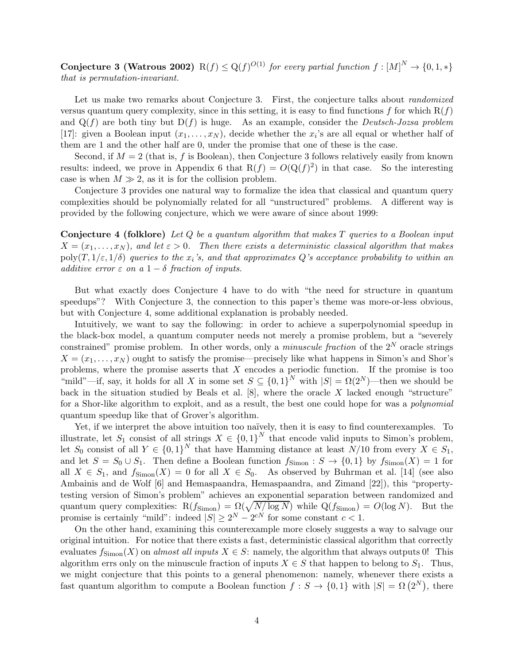Conjecture 3 (Watrous 2002)  $R(f) \le Q(f)^{O(1)}$  for every partial function  $f : [M]^N \to \{0, 1, *\}$ that is permutation-invariant.

Let us make two remarks about Conjecture 3. First, the conjecture talks about *randomized* versus quantum query complexity, since in this setting, it is easy to find functions f for which  $R(f)$ and  $Q(f)$  are both tiny but  $D(f)$  is huge. As an example, consider the *Deutsch-Jozsa problem* [17]: given a Boolean input  $(x_1, \ldots, x_N)$ , decide whether the  $x_i$ 's are all equal or whether half of them are 1 and the other half are 0, under the promise that one of these is the case.

Second, if  $M = 2$  (that is, f is Boolean), then Conjecture 3 follows relatively easily from known results: indeed, we prove in Appendix 6 that  $R(f) = O(Q(f)^2)$  in that case. So the interesting case is when  $M \gg 2$ , as it is for the collision problem.

Conjecture 3 provides one natural way to formalize the idea that classical and quantum query complexities should be polynomially related for all "unstructured" problems. A different way is provided by the following conjecture, which we were aware of since about 1999:

**Conjecture 4 (folklore)** Let  $Q$  be a quantum algorithm that makes  $T$  queries to a Boolean input  $X = (x_1, \ldots, x_N)$ , and let  $\varepsilon > 0$ . Then there exists a deterministic classical algorithm that makes  $\text{poly}(T,1/\varepsilon,1/\delta)$  queries to the  $x_i$ 's, and that approximates Q's acceptance probability to within an additive error  $\varepsilon$  on a  $1-\delta$  fraction of inputs.

But what exactly does Conjecture 4 have to do with "the need for structure in quantum speedups"? With Conjecture 3, the connection to this paper's theme was more-or-less obvious, but with Conjecture 4, some additional explanation is probably needed.

Intuitively, we want to say the following: in order to achieve a superpolynomial speedup in the black-box model, a quantum computer needs not merely a promise problem, but a "severely constrained" promise problem. In other words, only a *minuscule fraction* of the  $2^N$  oracle strings  $X = (x_1, \ldots, x_N)$  ought to satisfy the promise—precisely like what happens in Simon's and Shor's problems, where the promise asserts that  $X$  encodes a periodic function. If the promise is too "mild"—if, say, it holds for all X in some set  $S \subseteq \{0,1\}^N$  with  $|S| = \Omega(2^N)$ —then we should be back in the situation studied by Beals et al.  $[8]$ , where the oracle X lacked enough "structure" for a Shor-like algorithm to exploit, and as a result, the best one could hope for was a polynomial quantum speedup like that of Grover's algorithm.

Yet, if we interpret the above intuition too naïvely, then it is easy to find counterexamples. To illustrate, let  $S_1$  consist of all strings  $X \in \{0,1\}^N$  that encode valid inputs to Simon's problem, let  $S_0$  consist of all  $Y \in \{0,1\}^N$  that have Hamming distance at least  $N/10$  from every  $X \in S_1$ , and let  $S = S_0 \cup S_1$ . Then define a Boolean function  $f_{\text{Simon}} : S \to \{0, 1\}$  by  $f_{\text{Simon}}(X) = 1$  for all  $X \in S_1$ , and  $f_{\text{Simon}}(X) = 0$  for all  $X \in S_0$ . As observed by Buhrman et al. [14] (see also Ambainis and de Wolf [6] and Hemaspaandra, Hemaspaandra, and Zimand [22]), this "propertytesting version of Simon's problem" achieves an exponential separation between randomized and quantum query complexities:  $R(f_{Simon}) = \Omega(\sqrt{N/\log N})$  while  $Q(f_{Simon}) = O(\log N)$ . But the promise is certainly "mild": indeed  $|S| \ge 2^N - 2^{cN}$  for some constant  $c < 1$ .

On the other hand, examining this counterexample more closely suggests a way to salvage our original intuition. For notice that there exists a fast, deterministic classical algorithm that correctly evaluates  $f_{\text{Simon}}(X)$  on almost all inputs  $X \in S$ : namely, the algorithm that always outputs 0! This algorithm errs only on the minuscule fraction of inputs  $X \in S$  that happen to belong to  $S_1$ . Thus, we might conjecture that this points to a general phenomenon: namely, whenever there exists a fast quantum algorithm to compute a Boolean function  $f: S \to \{0,1\}$  with  $|S| = \Omega(2^N)$ , there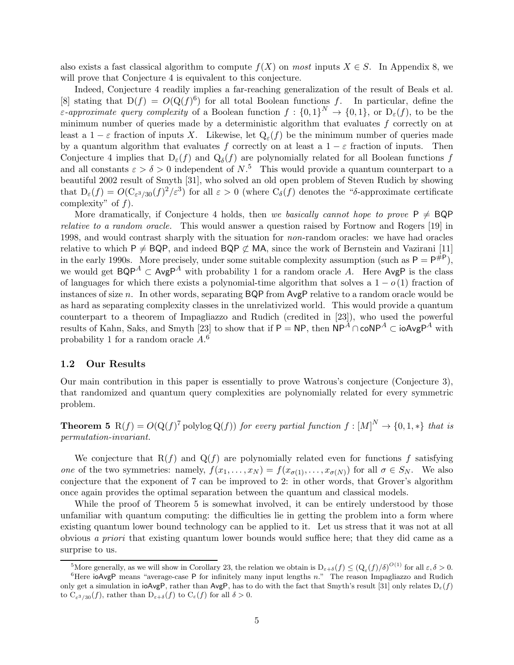also exists a fast classical algorithm to compute  $f(X)$  on most inputs  $X \in S$ . In Appendix 8, we will prove that Conjecture 4 is equivalent to this conjecture.

Indeed, Conjecture 4 readily implies a far-reaching generalization of the result of Beals et al. [8] stating that  $D(f) = O(Q(f)^6)$  for all total Boolean functions f. In particular, define the *ε-approximate query complexity* of a Boolean function  $f: \{0,1\}^N \to \{0,1\}$ , or  $D_{\varepsilon}(f)$ , to be the minimum number of queries made by a deterministic algorithm that evaluates  $f$  correctly on at least a  $1 - \varepsilon$  fraction of inputs X. Likewise, let  $Q_{\varepsilon}(f)$  be the minimum number of queries made by a quantum algorithm that evaluates f correctly on at least a  $1 - \varepsilon$  fraction of inputs. Then Conjecture 4 implies that  $D_{\varepsilon}(f)$  and  $Q_{\delta}(f)$  are polynomially related for all Boolean functions f and all constants  $\varepsilon > \delta > 0$  independent of  $N<sup>5</sup>$ . This would provide a quantum counterpart to a beautiful 2002 result of Smyth [31], who solved an old open problem of Steven Rudich by showing that  $D_{\varepsilon}(f) = O(C_{\varepsilon^3/30}(f)^2/\varepsilon^3)$  for all  $\varepsilon > 0$  (where  $C_{\delta}(f)$  denotes the "δ-approximate certificate complexity" of  $f$ ).

More dramatically, if Conjecture 4 holds, then we basically cannot hope to prove  $P \neq BQP$ relative to a random oracle. This would answer a question raised by Fortnow and Rogers [19] in 1998, and would contrast sharply with the situation for *non*-random oracles: we have had oracles relative to which P  $\neq$  BQP, and indeed BQP  $\not\subset$  MA, since the work of Bernstein and Vazirani [11] in the early 1990s. More precisely, under some suitable complexity assumption (such as  $P = P^{\#P}$ ), we would get  $BQP^A \subset \text{AvgP}^A$  with probability 1 for a random oracle A. Here AvgP is the class of languages for which there exists a polynomial-time algorithm that solves a  $1 - o(1)$  fraction of instances of size n. In other words, separating  $BQP$  from  $AveP$  relative to a random oracle would be as hard as separating complexity classes in the unrelativized world. This would provide a quantum counterpart to a theorem of Impagliazzo and Rudich (credited in [23]), who used the powerful results of Kahn, Saks, and Smyth [23] to show that if P = NP, then  $NP^A \cap coNP^A \subset ioAvgP^A$  with probability 1 for a random oracle  $A<sup>6</sup>$ .

#### 1.2 Our Results

Our main contribution in this paper is essentially to prove Watrous's conjecture (Conjecture 3), that randomized and quantum query complexities are polynomially related for every symmetric problem.

**Theorem 5** R(f) =  $O(Q(f)^{7}$  polylog  $Q(f)$ ) for every partial function  $f : [M]^{N} \to \{0, 1, *\}$  that is permutation-invariant.

We conjecture that  $R(f)$  and  $Q(f)$  are polynomially related even for functions f satisfying one of the two symmetries: namely,  $f(x_1, \ldots, x_N) = f(x_{\sigma(1)}, \ldots, x_{\sigma(N)})$  for all  $\sigma \in S_N$ . We also conjecture that the exponent of 7 can be improved to 2: in other words, that Grover's algorithm once again provides the optimal separation between the quantum and classical models.

While the proof of Theorem 5 is somewhat involved, it can be entirely understood by those unfamiliar with quantum computing: the difficulties lie in getting the problem into a form where existing quantum lower bound technology can be applied to it. Let us stress that it was not at all obvious a priori that existing quantum lower bounds would suffice here; that they did came as a surprise to us.

<sup>&</sup>lt;sup>5</sup>More generally, as we will show in Corollary 23, the relation we obtain is  $D_{\varepsilon+\delta}(f) \leq (Q_{\varepsilon}(f)/\delta)^{O(1)}$  for all  $\varepsilon, \delta > 0$ .

 ${}^{6}$ Here ioAvgP means "average-case P for infinitely many input lengths n." The reason Impagliazzo and Rudich only get a simulation in ioAvgP, rather than AvgP, has to do with the fact that Smyth's result [31] only relates  $D_{\varepsilon}(f)$ to  $C_{\varepsilon^3/30}(f)$ , rather than  $D_{\varepsilon+\delta}(f)$  to  $C_{\varepsilon}(f)$  for all  $\delta > 0$ .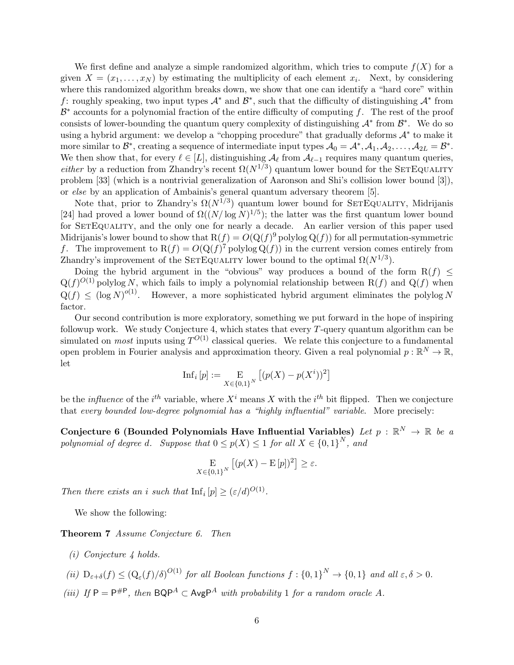We first define and analyze a simple randomized algorithm, which tries to compute  $f(X)$  for a given  $X = (x_1, \ldots, x_N)$  by estimating the multiplicity of each element  $x_i$ . Next, by considering where this randomized algorithm breaks down, we show that one can identify a "hard core" within f: roughly speaking, two input types  $\mathcal{A}^*$  and  $\mathcal{B}^*$ , such that the difficulty of distinguishing  $\mathcal{A}^*$  from  $\mathcal{B}^*$  accounts for a polynomial fraction of the entire difficulty of computing f. The rest of the proof consists of lower-bounding the quantum query complexity of distinguishing  $\mathcal{A}^*$  from  $\mathcal{B}^*$ . We do so using a hybrid argument: we develop a "chopping procedure" that gradually deforms  $\mathcal{A}^*$  to make it more similar to  $\mathcal{B}^*$ , creating a sequence of intermediate input types  $\mathcal{A}_0 = \mathcal{A}^*, \mathcal{A}_1, \mathcal{A}_2, \dots, \mathcal{A}_{2L} = \mathcal{B}^*$ . We then show that, for every  $\ell \in [L]$ , distinguishing  $\mathcal{A}_{\ell}$  from  $\mathcal{A}_{\ell-1}$  requires many quantum queries, *either* by a reduction from Zhandry's recent  $\Omega(N^{1/3})$  quantum lower bound for the SETEQUALITY problem [33] (which is a nontrivial generalization of Aaronson and Shi's collision lower bound [3]), or else by an application of Ambainis's general quantum adversary theorem [5].

Note that, prior to Zhandry's  $\Omega(N^{1/3})$  quantum lower bound for SETEQUALITY, Midrijanis [24] had proved a lower bound of  $\Omega((N/\log N)^{1/5})$ ; the latter was the first quantum lower bound for SETEQUALITY, and the only one for nearly a decade. An earlier version of this paper used Midrijanis's lower bound to show that  $R(f) = O(Q(f)^9)$  polylog  $Q(f)$  for all permutation-symmetric f. The improvement to  $R(f) = O(Q(f)^{7})$  polylog  $Q(f)$  in the current version comes entirely from Zhandry's improvement of the SETEQUALITY lower bound to the optimal  $\Omega(N^{1/3})$ .

Doing the hybrid argument in the "obvious" way produces a bound of the form  $R(f) \leq$  $Q(f)^{O(1)}$  polylog N, which fails to imply a polynomial relationship between  $R(f)$  and  $Q(f)$  when  $Q(f) \leq (\log N)^{o(1)}$ . However, a more sophisticated hybrid argument eliminates the polylog N factor.

Our second contribution is more exploratory, something we put forward in the hope of inspiring followup work. We study Conjecture 4, which states that every  $T$ -query quantum algorithm can be simulated on *most* inputs using  $T^{O(1)}$  classical queries. We relate this conjecture to a fundamental open problem in Fourier analysis and approximation theory. Given a real polynomial  $p : \mathbb{R}^N \to \mathbb{R}$ , let

$$
\mathrm{Inf}_i \left[ p \right] := \mathop{\mathrm{E}}_{X \in \{0,1\}^N} \left[ (p(X) - p(X^i))^2 \right]
$$

be the *influence* of the *i*<sup>th</sup> variable, where  $X^i$  means X with the *i*<sup>th</sup> bit flipped. Then we conjecture that every bounded low-degree polynomial has a "highly influential" variable. More precisely:

Conjecture 6 (Bounded Polynomials Have Influential Variables) Let  $p$  :  $\mathbb{R}^N \to \mathbb{R}$  be a polynomial of degree d. Suppose that  $0 \le p(X) \le 1$  for all  $X \in \{0,1\}^N$ , and

$$
\mathop{\rm E}_{X \in \{0,1\}^N} [(p(X) - \mathop{\rm E}[p])^2] \ge \varepsilon.
$$

Then there exists an i such that  $\text{Inf}_i[p] \geq (\varepsilon/d)^{O(1)}$ .

We show the following:

Theorem 7 Assume Conjecture 6. Then

- (i) Conjecture 4 holds.
- (ii)  $D_{\varepsilon+\delta}(f) \leq (Q_{\varepsilon}(f)/\delta)^{O(1)}$  for all Boolean functions  $f: \{0,1\}^N \to \{0,1\}$  and all  $\varepsilon, \delta > 0$ .
- (iii) If  $P = P^{\#P}$ , then  $BQP^A \subset AvgP^A$  with probability 1 for a random oracle A.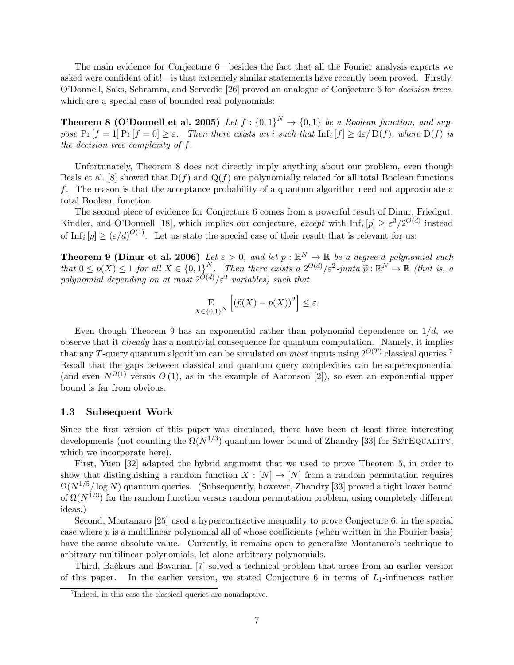The main evidence for Conjecture 6—besides the fact that all the Fourier analysis experts we asked were confident of it!—is that extremely similar statements have recently been proved. Firstly, O'Donnell, Saks, Schramm, and Servedio [26] proved an analogue of Conjecture 6 for decision trees, which are a special case of bounded real polynomials:

**Theorem 8 (O'Donnell et al. 2005)** Let  $f : \{0,1\}^N \to \{0,1\}$  be a Boolean function, and suppose  $Pr[f = 1] Pr[f = 0] \ge \varepsilon$ . Then there exists an i such that  $Inf_i[f] \ge 4\varepsilon/D(f)$ , where  $D(f)$  is the decision tree complexity of f.

Unfortunately, Theorem 8 does not directly imply anything about our problem, even though Beals et al. [8] showed that  $D(f)$  and  $Q(f)$  are polynomially related for all total Boolean functions f. The reason is that the acceptance probability of a quantum algorithm need not approximate a total Boolean function.

The second piece of evidence for Conjecture 6 comes from a powerful result of Dinur, Friedgut, Kindler, and O'Donnell [18], which implies our conjecture, except with  $\text{Inf}_i[p] \geq \varepsilon^3/2^{O(d)}$  instead of Inf<sub>i</sub>  $[p] \geq (\varepsilon/d)^{O(1)}$ . Let us state the special case of their result that is relevant for us:

**Theorem 9 (Dinur et al. 2006)** Let  $\varepsilon > 0$ , and let  $p : \mathbb{R}^N \to \mathbb{R}$  be a degree-d polynomial such that  $0 \le p(X) \le 1$  for all  $X \in \{0,1\}^N$ . Then there exists a  $2^{O(d)} / \varepsilon^2$ -junta  $\widetilde{p}: \mathbb{R}^N \to \mathbb{R}$  (that is, a polynomial depending on at most  $2^{O(d)}/\varepsilon^2$  variables) such that

$$
\mathop{\mathbf{E}}_{X \in \{0,1\}^N} \left[ \left( \widetilde{p}(X) - p(X) \right)^2 \right] \le \varepsilon.
$$

Even though Theorem 9 has an exponential rather than polynomial dependence on  $1/d$ , we observe that it already has a nontrivial consequence for quantum computation. Namely, it implies that any T-query quantum algorithm can be simulated on *most* inputs using  $2^{O(T)}$  classical queries.<sup>7</sup> Recall that the gaps between classical and quantum query complexities can be superexponential (and even  $N^{\Omega(1)}$  versus  $O(1)$ , as in the example of Aaronson [2]), so even an exponential upper bound is far from obvious.

#### 1.3 Subsequent Work

Since the first version of this paper was circulated, there have been at least three interesting developments (not counting the  $\Omega(N^{1/3})$  quantum lower bound of Zhandry [33] for SETEQUALITY, which we incorporate here).

First, Yuen [32] adapted the hybrid argument that we used to prove Theorem 5, in order to show that distinguishing a random function  $X : [N] \to [N]$  from a random permutation requires  $\Omega(N^{1/5}/\log N)$  quantum queries. (Subsequently, however, Zhandry [33] proved a tight lower bound of  $\Omega(N^{1/3})$  for the random function versus random permutation problem, using completely different ideas.)

Second, Montanaro [25] used a hypercontractive inequality to prove Conjecture 6, in the special case where  $p$  is a multilinear polynomial all of whose coefficients (when written in the Fourier basis) have the same absolute value. Currently, it remains open to generalize Montanaro's technique to arbitrary multilinear polynomials, let alone arbitrary polynomials.

Third, Bačkurs and Bavarian [7] solved a technical problem that arose from an earlier version of this paper. In the earlier version, we stated Conjecture 6 in terms of  $L_1$ -influences rather

<sup>7</sup> Indeed, in this case the classical queries are nonadaptive.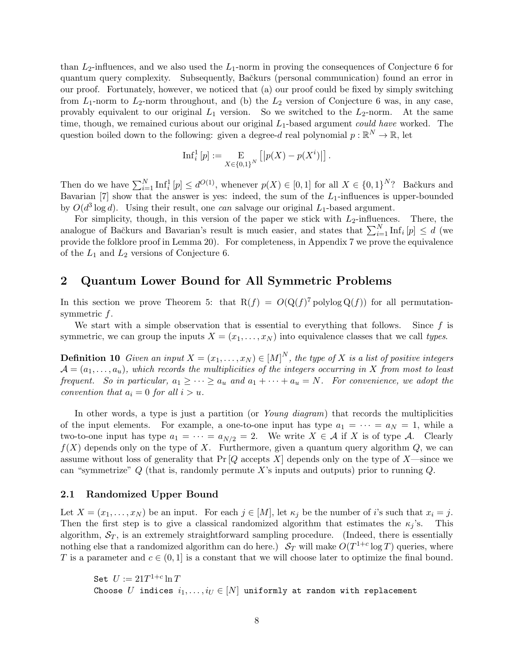than  $L_2$ -influences, and we also used the  $L_1$ -norm in proving the consequences of Conjecture 6 for quantum query complexity. Subsequently, Bačkurs (personal communication) found an error in our proof. Fortunately, however, we noticed that (a) our proof could be fixed by simply switching from  $L_1$ -norm to  $L_2$ -norm throughout, and (b) the  $L_2$  version of Conjecture 6 was, in any case, provably equivalent to our original  $L_1$  version. So we switched to the  $L_2$ -norm. At the same time, though, we remained curious about our original  $L_1$ -based argument *could have* worked. The question boiled down to the following: given a degree-d real polynomial  $p : \mathbb{R}^N \to \mathbb{R}$ , let

$$
\mathrm{Inf}_i^1\left[p\right] := \underset{X \in \{0,1\}^N}{\mathrm{E}}\left[\left|p(X) - p(X^i)\right|\right].
$$

Then do we have  $\sum_{i=1}^{N} \text{Inf}_{i}^{1}[p] \leq d^{O(1)}$ , whenever  $p(X) \in [0,1]$  for all  $X \in \{0,1\}^{N}$ ? Bačkurs and Bavarian [7] show that the answer is yes: indeed, the sum of the  $L_1$ -influences is upper-bounded by  $O(d^3 \log d)$ . Using their result, one can salvage our original  $L_1$ -based argument.

For simplicity, though, in this version of the paper we stick with  $L_2$ -influences. There, the analogue of Bačkurs and Bavarian's result is much easier, and states that  $\sum_{i=1}^{N} \text{Inf}_i[p] \leq d$  (we provide the folklore proof in Lemma 20). For completeness, in Appendix 7 we prove the equivalence of the  $L_1$  and  $L_2$  versions of Conjecture 6.

# 2 Quantum Lower Bound for All Symmetric Problems

In this section we prove Theorem 5: that  $R(f) = O(Q(f)^{7})$  polylog  $Q(f)$  for all permutationsymmetric  $f$ .

We start with a simple observation that is essential to everything that follows. Since  $f$  is symmetric, we can group the inputs  $X = (x_1, \ldots, x_N)$  into equivalence classes that we call types.

**Definition 10** Given an input  $X = (x_1, \ldots, x_N) \in [M]^N$ , the type of X is a list of positive integers  $\mathcal{A} = (a_1, \ldots, a_n)$ , which records the multiplicities of the integers occurring in X from most to least frequent. So in particular,  $a_1 \geq \cdots \geq a_u$  and  $a_1 + \cdots + a_u = N$ . For convenience, we adopt the convention that  $a_i = 0$  for all  $i > u$ .

In other words, a type is just a partition (or Young diagram) that records the multiplicities of the input elements. For example, a one-to-one input has type  $a_1 = \cdots = a_N = 1$ , while a two-to-one input has type  $a_1 = \cdots = a_{N/2} = 2$ . We write  $X \in \mathcal{A}$  if X is of type A. Clearly  $f(X)$  depends only on the type of X. Furthermore, given a quantum query algorithm  $Q$ , we can assume without loss of generality that  $Pr[Q$  accepts X depends only on the type of X—since we can "symmetrize"  $Q$  (that is, randomly permute X's inputs and outputs) prior to running  $Q$ .

#### 2.1 Randomized Upper Bound

Let  $X = (x_1, \ldots, x_N)$  be an input. For each  $j \in [M]$ , let  $\kappa_j$  be the number of i's such that  $x_i = j$ . Then the first step is to give a classical randomized algorithm that estimates the  $\kappa_i$ 's. This algorithm,  $S_T$ , is an extremely straightforward sampling procedure. (Indeed, there is essentially nothing else that a randomized algorithm can do here.)  $S_T$  will make  $O(T^{1+c} \log T)$  queries, where T is a parameter and  $c \in (0,1]$  is a constant that we will choose later to optimize the final bound.

Set  $U:=21T^{1+c}\ln T$ Choose U indices  $i_1, \ldots, i_U \in [N]$  uniformly at random with replacement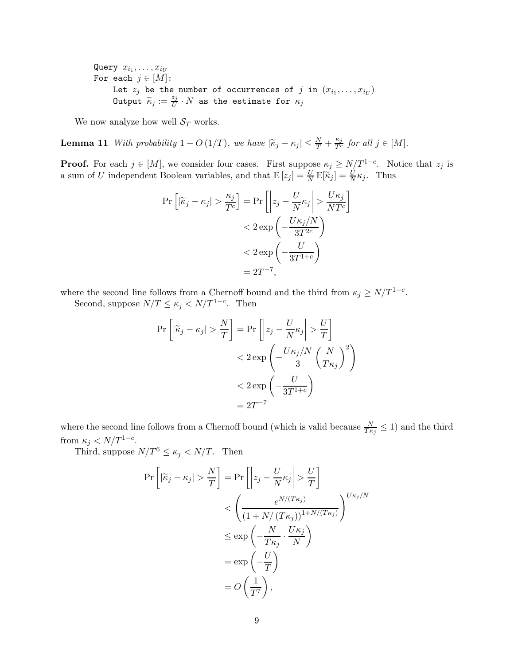Query  $x_{i_1},\ldots,x_{i_U}$ For each  $j \in [M]$ : Let  $z_j$  be the number of occurrences of  $j$  in  $(x_{i_1}, \ldots, x_{i_U})$ Output  $\widetilde{\kappa}_j := \frac{z_j}{U}$  $\frac{\varepsilon j}{U} \cdot N$  as the estimate for  $\kappa_j$ 

We now analyze how well  $S_T$  works.

**Lemma 11** With probability  $1 - O(1/T)$ , we have  $|\widetilde{\kappa}_j - \kappa_j| \leq \frac{N}{T} + \frac{\kappa_j}{T^c}$  for all  $j \in [M]$ .

**Proof.** For each  $j \in [M]$ , we consider four cases. First suppose  $\kappa_j \ge N/T^{1-c}$ . Notice that  $z_j$  is a sum of U independent Boolean variables, and that  $E[z_j] = \frac{U}{N} E[\vec{k}_j] = \frac{U}{N} \kappa_j$ . Thus

$$
\Pr\left[|\widetilde{\kappa}_j - \kappa_j| > \frac{\kappa_j}{T^c}\right] = \Pr\left[\left|z_j - \frac{U}{N}\kappa_j\right| > \frac{U\kappa_j}{NT^c}\right] \n< 2 \exp\left(-\frac{U\kappa_j/N}{3T^{2c}}\right) \n< 2 \exp\left(-\frac{U}{3T^{1+c}}\right) \n= 2T^{-7},
$$

where the second line follows from a Chernoff bound and the third from  $\kappa_j \geq N/T^{1-c}$ .

Second, suppose  $N/T \le \kappa_j < N/T^{1-c}$ . Then

$$
\Pr\left[|\tilde{\kappa}_j - \kappa_j| > \frac{N}{T}\right] = \Pr\left[\left|z_j - \frac{U}{N}\kappa_j\right| > \frac{U}{T}\right] \n< 2 \exp\left(-\frac{U\kappa_j/N}{3}\left(\frac{N}{T\kappa_j}\right)^2\right) \n< 2 \exp\left(-\frac{U}{3T^{1+c}}\right) \n= 2T^{-7}
$$

where the second line follows from a Chernoff bound (which is valid because  $\frac{N}{T_{\kappa_j}} \leq 1$ ) and the third from  $\kappa_j < N/T^{1-c}$ .

Third, suppose  $N/T^6 \leq \kappa_j < N/T$ . Then

$$
\Pr\left[|\tilde{\kappa}_j - \kappa_j| > \frac{N}{T}\right] = \Pr\left[\left|z_j - \frac{U}{N}\kappa_j\right| > \frac{U}{T}\right]
$$
  

$$
< \left(\frac{e^{N/(T\kappa_j)}}{(1 + N/(T\kappa_j))^{1 + N/(T\kappa_j)}}\right)^{U\kappa_j/N}
$$
  

$$
\leq \exp\left(-\frac{N}{T\kappa_j} \cdot \frac{U\kappa_j}{N}\right)
$$
  

$$
= \exp\left(-\frac{U}{T}\right)
$$
  

$$
= O\left(\frac{1}{T^7}\right),
$$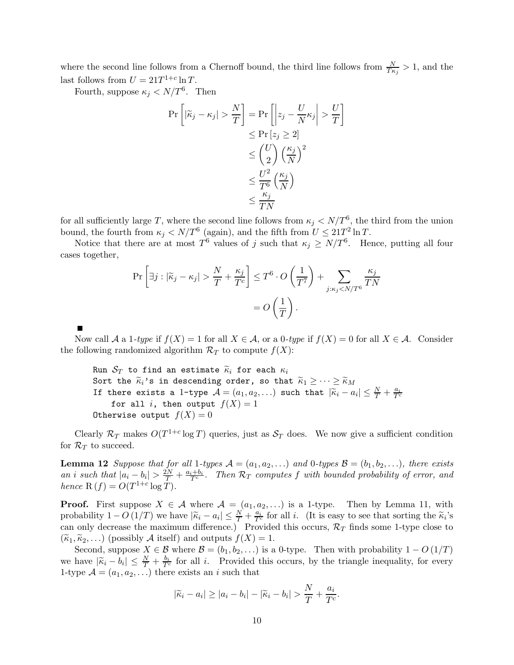where the second line follows from a Chernoff bound, the third line follows from  $\frac{N}{T\kappa_j} > 1$ , and the last follows from  $U = 21T^{1+c} \ln T$ .

Fourth, suppose  $\kappa_j < N/T^6$ . Then

$$
\Pr\left[|\widetilde{\kappa}_j - \kappa_j| > \frac{N}{T}\right] = \Pr\left[\left|z_j - \frac{U}{N}\kappa_j\right| > \frac{U}{T}\right] \\
\leq \Pr\left[z_j \geq 2\right] \\
\leq \binom{U}{2} \left(\frac{\kappa_j}{N}\right)^2 \\
\leq \frac{U^2}{T^6} \left(\frac{\kappa_j}{N}\right) \\
\leq \frac{\kappa_j}{TN}
$$

for all sufficiently large T, where the second line follows from  $\kappa_j < N/T^6$ , the third from the union bound, the fourth from  $\kappa_j < N/T^6$  (again), and the fifth from  $U \leq 21T^2 \ln T$ .

Notice that there are at most  $T^6$  values of j such that  $\kappa_j \geq N/T^6$ . Hence, putting all four cases together,

$$
\Pr\left[\exists j : |\widetilde{\kappa}_j - \kappa_j| > \frac{N}{T} + \frac{\kappa_j}{T^c}\right] \le T^6 \cdot O\left(\frac{1}{T^7}\right) + \sum_{j: \kappa_j < N/T^6} \frac{\kappa_j}{TN}
$$
\n
$$
= O\left(\frac{1}{T}\right).
$$

Now call A a 1-type if  $f(X) = 1$  for all  $X \in \mathcal{A}$ , or a 0-type if  $f(X) = 0$  for all  $X \in \mathcal{A}$ . Consider the following randomized algorithm  $\mathcal{R}_T$  to compute  $f(X)$ :

Run  $S_T$  to find an estimate  $\widetilde{\kappa}_i$  for each  $\kappa_i$ Sort the  $\widetilde{\kappa}_i$ 's in descending order, so that  $\widetilde{\kappa}_1 \geq \cdots \geq \widetilde{\kappa}_M$ If there exists a 1-type  $\mathcal{A} = (a_1, a_2, \ldots)$  such that  $|\widetilde{\kappa}_i - a_i| \leq \frac{N}{T} + \frac{a_i}{T^c}$ for all i, then output  $f(X) = 1$ Otherwise output  $f(X) = 0$ 

Clearly  $\mathcal{R}_T$  makes  $O(T^{1+c} \log T)$  queries, just as  $\mathcal{S}_T$  does. We now give a sufficient condition for  $\mathcal{R}_T$  to succeed.

**Lemma 12** Suppose that for all 1-types  $A = (a_1, a_2, \ldots)$  and 0-types  $B = (b_1, b_2, \ldots)$ , there exists an i such that  $|a_i - b_i| > \frac{2N}{T} + \frac{a_i + b_i}{T^c}$ . Then  $\mathcal{R}_T$  computes f with bounded probability of error, and hence  $R(f) = O(T^{1+c} \log T)$ .

**Proof.** First suppose  $X \in \mathcal{A}$  where  $\mathcal{A} = (a_1, a_2, \ldots)$  is a 1-type. Then by Lemma 11, with probability  $1 - O(1/T)$  we have  $|\widetilde{\kappa}_i - a_i| \leq \frac{N}{T} + \frac{a_i}{T^c}$  for all *i*. (It is easy to see that sorting the  $\widetilde{\kappa}_i$ 's can only decrease the maximum difference.) Provided this occurs,  $\mathcal{R}_T$  finds some 1-type close to  $(\widetilde{\kappa}_1, \widetilde{\kappa}_2, \ldots)$  (possibly A itself) and outputs  $f(X) = 1$ .

Second, suppose  $X \in \mathcal{B}$  where  $\mathcal{B} = (b_1, b_2, \ldots)$  is a 0-type. Then with probability  $1 - O(1/T)$ we have  $|\widetilde{\kappa}_i - b_i| \leq \frac{N}{T} + \frac{b_i}{T^c}$  for all i. Provided this occurs, by the triangle inequality, for every 1-type  $A = (a_1, a_2, \ldots)$  there exists an i such that

$$
|\widetilde{\kappa}_i - a_i| \ge |a_i - b_i| - |\widetilde{\kappa}_i - b_i| > \frac{N}{T} + \frac{a_i}{T^c}.
$$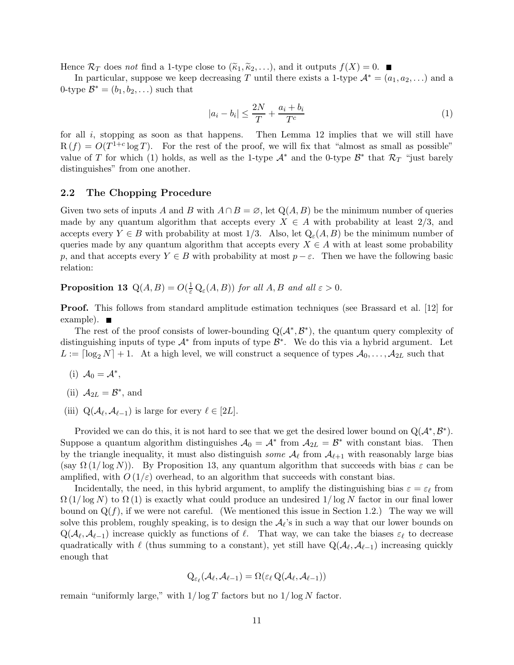Hence  $\mathcal{R}_T$  does not find a 1-type close to  $(\widetilde{\kappa}_1, \widetilde{\kappa}_2, \ldots)$ , and it outputs  $f(X) = 0$ .

In particular, suppose we keep decreasing T until there exists a 1-type  $\mathcal{A}^* = (a_1, a_2, \ldots)$  and a 0-type  $\mathcal{B}^* = (b_1, b_2, \ldots)$  such that

$$
|a_i - b_i| \le \frac{2N}{T} + \frac{a_i + b_i}{T^c} \tag{1}
$$

for all  $i$ , stopping as soon as that happens. Then Lemma 12 implies that we will still have  $R(f) = O(T^{1+c} \log T)$ . For the rest of the proof, we will fix that "almost as small as possible" value of T for which (1) holds, as well as the 1-type  $\mathcal{A}^*$  and the 0-type  $\mathcal{B}^*$  that  $\mathcal{R}_T$  "just barely distinguishes" from one another.

### 2.2 The Chopping Procedure

Given two sets of inputs A and B with  $A \cap B = \emptyset$ , let  $Q(A, B)$  be the minimum number of queries made by any quantum algorithm that accepts every  $X \in A$  with probability at least 2/3, and accepts every  $Y \in B$  with probability at most 1/3. Also, let  $Q_{\varepsilon}(A, B)$  be the minimum number of queries made by any quantum algorithm that accepts every  $X \in A$  with at least some probability p, and that accepts every  $Y \in B$  with probability at most  $p - \varepsilon$ . Then we have the following basic relation:

**Proposition 13**  $Q(A, B) = O(\frac{1}{\varepsilon} Q_{\varepsilon}(A, B))$  for all  $A, B$  and all  $\varepsilon > 0$ .

Proof. This follows from standard amplitude estimation techniques (see Brassard et al. [12] for example).

The rest of the proof consists of lower-bounding  $Q(\mathcal{A}^*, \mathcal{B}^*)$ , the quantum query complexity of distinguishing inputs of type  $\mathcal{A}^*$  from inputs of type  $\mathcal{B}^*$ . We do this via a hybrid argument. Let  $L := \lceil \log_2 N \rceil + 1$ . At a high level, we will construct a sequence of types  $\mathcal{A}_0, \ldots, \mathcal{A}_{2L}$  such that

- (i)  $A_0 = A^*$ ,
- (ii)  $A_{2L} = \mathcal{B}^*$ , and
- (iii)  $Q(\mathcal{A}_{\ell}, \mathcal{A}_{\ell-1})$  is large for every  $\ell \in [2L]$ .

Provided we can do this, it is not hard to see that we get the desired lower bound on  $Q(\mathcal{A}^*, \mathcal{B}^*)$ . Suppose a quantum algorithm distinguishes  $A_0 = A^*$  from  $A_{2L} = B^*$  with constant bias. Then by the triangle inequality, it must also distinguish *some*  $\mathcal{A}_{\ell}$  from  $\mathcal{A}_{\ell+1}$  with reasonably large bias (say  $\Omega(1/\log N)$ ). By Proposition 13, any quantum algorithm that succeeds with bias  $\varepsilon$  can be amplified, with  $O(1/\varepsilon)$  overhead, to an algorithm that succeeds with constant bias.

Incidentally, the need, in this hybrid argument, to amplify the distinguishing bias  $\varepsilon = \varepsilon_{\ell}$  from  $\Omega(1/\log N)$  to  $\Omega(1)$  is exactly what could produce an undesired  $1/\log N$  factor in our final lower bound on  $Q(f)$ , if we were not careful. (We mentioned this issue in Section 1.2.) The way we will solve this problem, roughly speaking, is to design the  $A_{\ell}$ 's in such a way that our lower bounds on  $Q(\mathcal{A}_{\ell}, \mathcal{A}_{\ell-1})$  increase quickly as functions of  $\ell$ . That way, we can take the biases  $\varepsilon_{\ell}$  to decrease quadratically with  $\ell$  (thus summing to a constant), yet still have  $Q(\mathcal{A}_{\ell}, \mathcal{A}_{\ell-1})$  increasing quickly enough that

$$
Q_{\varepsilon_{\ell}}(\mathcal{A}_{\ell},\mathcal{A}_{\ell-1}) = \Omega(\varepsilon_{\ell} Q(\mathcal{A}_{\ell},\mathcal{A}_{\ell-1}))
$$

remain "uniformly large," with  $1/\log T$  factors but no  $1/\log N$  factor.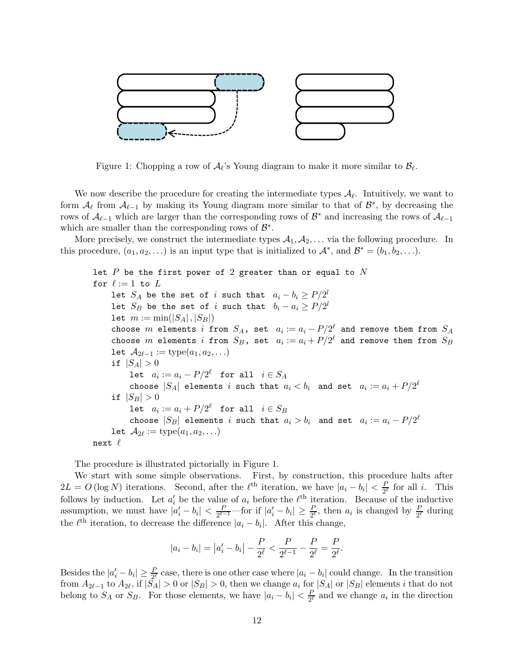

Figure 1: Chopping a row of  $\mathcal{A}_{\ell}$ 's Young diagram to make it more similar to  $\mathcal{B}_{\ell}$ .

We now describe the procedure for creating the intermediate types  $A_{\ell}$ . Intuitively, we want to form  $\mathcal{A}_{\ell}$  from  $\mathcal{A}_{\ell-1}$  by making its Young diagram more similar to that of  $\mathcal{B}^*$ , by decreasing the rows of  $\mathcal{A}_{\ell-1}$  which are larger than the corresponding rows of  $\mathcal{B}^*$  and increasing the rows of  $\mathcal{A}_{\ell-1}$ which are smaller than the corresponding rows of  $\mathcal{B}^*$ .

More precisely, we construct the intermediate types  $A_1, A_2, \ldots$  via the following procedure. In this procedure,  $(a_1, a_2, \ldots)$  is an input type that is initialized to  $\mathcal{A}^*$ , and  $\mathcal{B}^* = (b_1, b_2, \ldots)$ .

let  $P$  be the first power of 2 greater than or equal to  $N$ for  $\ell := 1$  to  $L$ let  $S_A$  be the set of i such that  $a_i - b_i \ge P/2^l$ let  $S_B$  be the set of i such that  $b_i - a_i \ge P/2^l$ let  $m := min(|S_A|, |S_B|)$ choose  $m$  elements  $i$  from  $S_A$ , set  $a_i := a_i - P/2^{\ell}$  and remove them from  $S_A$ choose  $m$  elements  $i$  from  $S_B$ , set  $a_i := a_i + P/2^\ell$  and remove them from  $S_B$ let  $A_{2\ell-1} := \text{type}(a_1, a_2, \ldots)$ if  $|S_A| > 0$ let  $a_i := a_i - P/2^{\ell}$  for all  $i \in S_A$ choose  $|S_A|$  elements i such that  $a_i < b_i$  and set  $a_i := a_i + P/2^{\ell}$ if  $|S_B| > 0$ let  $a_i := a_i + P/2^{\ell}$  for all  $i \in S_B$ choose  $|S_B|$  elements  $i$  such that  $a_i > b_i$  and set  $a_i := a_i - P/2^{\ell}$ let  $A_{2\ell} := \mathrm{type}(a_1, a_2, \ldots)$ next  $\ell$ 

The procedure is illustrated pictorially in Figure 1.

We start with some simple observations. First, by construction, this procedure halts after  $2L = O(\log N)$  iterations. Second, after the  $\ell^{\text{th}}$  iteration, we have  $|a_i - b_i| < \frac{P}{2^{\ell}}$  for all i. This 2 follows by induction. Let  $a'_i$  be the value of  $a_i$  before the  $\ell^{\text{th}}$  iteration. Because of the inductive assumption, we must have  $|a'_i - b_i| < \frac{P}{2^{\ell}}$  $\frac{P}{2^{\ell-1}}$ —for if  $|a'_i - b_i| \geq \frac{P}{2^{\ell}}$ , then  $a_i$  is changed by  $\frac{P}{2^{\ell}}$  during the  $\ell^{\text{th}}$  iteration, to decrease the difference  $|a_i - b_i|$ . After this change,

$$
|a_i - b_i| = |a'_i - b_i| - \frac{P}{2^{\ell}} < \frac{P}{2^{\ell-1}} - \frac{P}{2^{\ell}} = \frac{P}{2^{\ell}}.
$$

Besides the  $|a'_i - b_i| \geq \frac{P}{2^{\ell}}$  case, there is one other case where  $|a_i - b_i|$  could change. In the transition from  $A_{2\ell-1}$  to  $A_{2\ell}$ , if  $|S_A| > 0$  or  $|S_B| > 0$ , then we change  $a_i$  for  $|S_A|$  or  $|S_B|$  elements i that do not belong to  $S_A$  or  $S_B$ . For those elements, we have  $|a_i - b_i| < \frac{P}{2^{\ell}}$  and we change  $a_i$  in the direction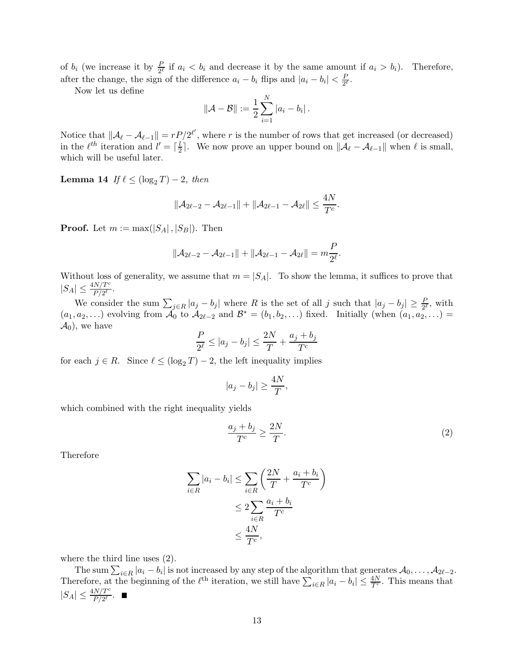of  $b_i$  (we increase it by  $\frac{p}{2^{\ell}}$  if  $a_i < b_i$  and decrease it by the same amount if  $a_i > b_i$ ). Therefore, after the change, the sign of the difference  $a_i - b_i$  flips and  $|a_i - b_i| < \frac{F}{2^i}$  $rac{P}{2^{\ell}}$ .

Now let us define

$$
\|\mathcal{A} - \mathcal{B}\| := \frac{1}{2} \sum_{i=1}^{N} |a_i - b_i|.
$$

Notice that  $||\mathcal{A}_{\ell} - \mathcal{A}_{\ell-1}|| = rP/2^{\ell'}$ , where r is the number of rows that get increased (or decreased) in the  $\ell^{th}$  iteration and  $l' = \lceil \frac{l}{2} \rceil$  $\frac{l}{2}$ . We now prove an upper bound on  $\|\mathcal{A}_{\ell} - \mathcal{A}_{\ell-1}\|$  when  $\ell$  is small, which will be useful later.

Lemma 14 If  $\ell \leq (\log_2 T) - 2$ , then

$$
\|\mathcal{A}_{2\ell-2}-\mathcal{A}_{2\ell-1}\|+\|\mathcal{A}_{2\ell-1}-\mathcal{A}_{2\ell}\|\leq \frac{4N}{T^c}.
$$

**Proof.** Let  $m := max(|S_A|, |S_B|)$ . Then

$$
\|\mathcal{A}_{2\ell-2}-\mathcal{A}_{2\ell-1}\|+\|\mathcal{A}_{2\ell-1}-\mathcal{A}_{2\ell}\|=m\frac{P}{2^{\ell}}.
$$

Without loss of generality, we assume that  $m = |S_A|$ . To show the lemma, it suffices to prove that  $|S_A| \leq \frac{4N/T^c}{P/2^{\ell}}$ .

We consider the sum  $\sum_{j\in R} |a_j - b_j|$  where R is the set of all j such that  $|a_j - b_j| \geq \frac{P}{2^{\ell}}$ , with  $(a_1, a_2, \ldots)$  evolving from  $\mathcal{A}_0$  to  $\mathcal{A}_{2\ell-2}$  and  $\mathcal{B}^* = (b_1, b_2, \ldots)$  fixed. Initially (when  $(a_1, a_2, \ldots)$  =  $\mathcal{A}_0$ , we have

$$
\frac{P}{2^{\ell}} \le |a_j - b_j| \le \frac{2N}{T} + \frac{a_j + b_j}{T^c}
$$

for each  $j \in R$ . Since  $\ell \leq (\log_2 T) - 2$ , the left inequality implies

$$
|a_j - b_j| \ge \frac{4N}{T},
$$

which combined with the right inequality yields

$$
\frac{a_j + b_j}{T^c} \ge \frac{2N}{T}.\tag{2}
$$

Therefore

$$
\sum_{i \in R} |a_i - b_i| \le \sum_{i \in R} \left(\frac{2N}{T} + \frac{a_i + b_i}{T^c}\right)
$$

$$
\le 2 \sum_{i \in R} \frac{a_i + b_i}{T^c}
$$

$$
\le \frac{4N}{T^c},
$$

where the third line uses (2).

The sum  $\sum_{i\in R} |a_i - b_i|$  is not increased by any step of the algorithm that generates  $\mathcal{A}_0, \ldots, \mathcal{A}_{2\ell-2}$ . Therefore, at the beginning of the  $\ell^{\text{th}}$  iteration, we still have  $\sum_{i\in R} |a_i - b_i| \leq \frac{4N}{T^c}$ . This means that  $|S_A| \leq \frac{4N/T^c}{P/2^{\ell}}.$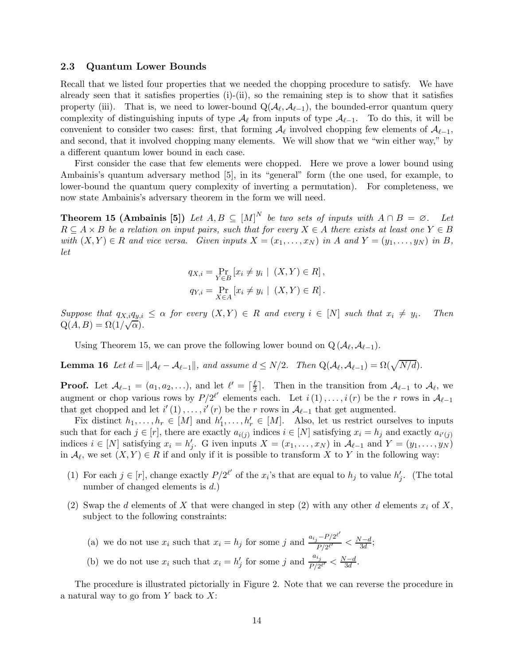### 2.3 Quantum Lower Bounds

Recall that we listed four properties that we needed the chopping procedure to satisfy. We have already seen that it satisfies properties  $(i)$ - $(ii)$ , so the remaining step is to show that it satisfies property (iii). That is, we need to lower-bound  $Q(\mathcal{A}_{\ell}, \mathcal{A}_{\ell-1})$ , the bounded-error quantum query complexity of distinguishing inputs of type  $\mathcal{A}_{\ell}$  from inputs of type  $\mathcal{A}_{\ell-1}$ . To do this, it will be convenient to consider two cases: first, that forming  $\mathcal{A}_{\ell}$  involved chopping few elements of  $\mathcal{A}_{\ell-1}$ , and second, that it involved chopping many elements. We will show that we "win either way," by a different quantum lower bound in each case.

First consider the case that few elements were chopped. Here we prove a lower bound using Ambainis's quantum adversary method [5], in its "general" form (the one used, for example, to lower-bound the quantum query complexity of inverting a permutation). For completeness, we now state Ambainis's adversary theorem in the form we will need.

**Theorem 15 (Ambainis [5])** Let  $A, B \subseteq [M]^N$  be two sets of inputs with  $A \cap B = \emptyset$ . Let  $R \subseteq A \times B$  be a relation on input pairs, such that for every  $X \in A$  there exists at least one  $Y \in B$ with  $(X, Y) \in R$  and vice versa. Given inputs  $X = (x_1, \ldots, x_N)$  in A and  $Y = (y_1, \ldots, y_N)$  in B, let

$$
q_{X,i} = \Pr_{Y \in B} [x_i \neq y_i \mid (X, Y) \in R],
$$
  

$$
q_{Y,i} = \Pr_{X \in A} [x_i \neq y_i \mid (X, Y) \in R].
$$

Suppose that  $q_{X,i}q_{y,i} \leq \alpha$  for every  $(X,Y) \in R$  and every  $i \in [N]$  such that  $x_i \neq y_i$ . . Then  $Q(A, B) = \Omega(1/\sqrt{\alpha}).$ 

Using Theorem 15, we can prove the following lower bound on  $Q(\mathcal{A}_{\ell}, \mathcal{A}_{\ell-1})$ .

**Lemma 16** Let  $d = ||\mathcal{A}_{\ell} - \mathcal{A}_{\ell-1}||$ , and assume  $d \leq N/2$ . Then  $Q(\mathcal{A}_{\ell}, \mathcal{A}_{\ell-1}) = \Omega(\sqrt{N/d})$ .

**Proof.** Let  $\mathcal{A}_{\ell-1} = (a_1, a_2, \ldots),$  and let  $\ell' = \lceil \frac{\ell}{2} \rceil$  $\frac{\ell}{2}$ . Then in the transition from  $\mathcal{A}_{\ell-1}$  to  $\mathcal{A}_{\ell}$ , we augment or chop various rows by  $P/2^{\ell'}$  elements each. Let  $i(1),...,i(r)$  be the r rows in  $\mathcal{A}_{\ell-1}$ that get chopped and let  $i'(1), \ldots, i'(r)$  be the r rows in  $\mathcal{A}_{\ell-1}$  that get augmented.

Fix distinct  $h_1, \ldots, h_r \in [M]$  and  $h'_1, \ldots, h'_r \in [M]$ . Also, let us restrict ourselves to inputs such that for each  $j \in [r]$ , there are exactly  $a_{i(j)}$  indices  $i \in [N]$  satisfying  $x_i = h_j$  and exactly  $a_{i'(j)}$ indices  $i \in [N]$  satisfying  $x_i = h'_j$ . G iven inputs  $X = (x_1, \ldots, x_N)$  in  $\mathcal{A}_{\ell-1}$  and  $Y = (y_1, \ldots, y_N)$ in  $\mathcal{A}_{\ell}$ , we set  $(X, Y) \in R$  if and only if it is possible to transform X to Y in the following way:

- (1) For each  $j \in [r]$ , change exactly  $P/2^{\ell'}$  of the  $x_i$ 's that are equal to  $h_j$  to value  $h'_j$ . (The total number of changed elements is  $d$ .)
- (2) Swap the d elements of X that were changed in step (2) with any other d elements  $x_i$  of X, subject to the following constraints:
	- (a) we do not use  $x_i$  such that  $x_i = h_j$  for some j and  $\frac{a_{i_j} P/2^{e'}}{P/2^{e'}}$  $\frac{N-d}{P/2^{\ell'}} < \frac{N-d}{3d};$
	- (b) we do not use  $x_i$  such that  $x_i = h'_j$  for some j and  $\frac{a_{i_j}}{P/2}$  $\frac{a_{ij}}{P/2^{\ell'}} < \frac{N-d}{3d}.$

The procedure is illustrated pictorially in Figure 2. Note that we can reverse the procedure in a natural way to go from  $Y$  back to  $X$ :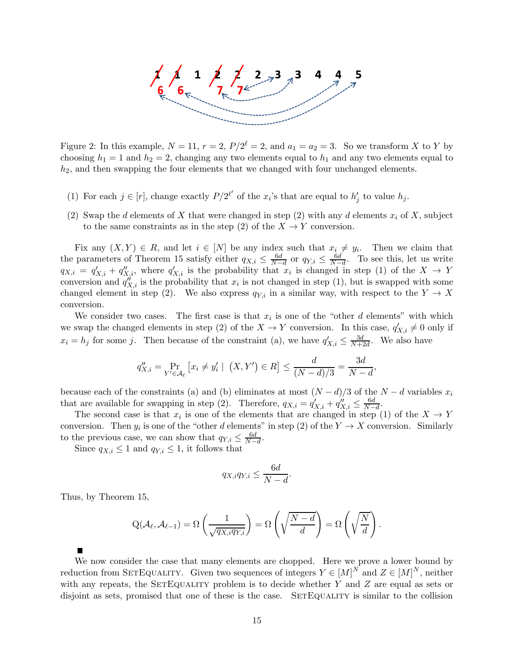

Figure 2: In this example,  $N = 11$ ,  $r = 2$ ,  $P/2^{\ell} = 2$ , and  $a_1 = a_2 = 3$ . So we transform X to Y by choosing  $h_1 = 1$  and  $h_2 = 2$ , changing any two elements equal to  $h_1$  and any two elements equal to  $h_2$ , and then swapping the four elements that we changed with four unchanged elements.

- (1) For each  $j \in [r]$ , change exactly  $P/2^{\ell'}$  of the  $x_i$ 's that are equal to  $h'_j$  to value  $h_j$ .
- (2) Swap the d elements of X that were changed in step (2) with any d elements  $x_i$  of X, subject to the same constraints as in the step (2) of the  $X \to Y$  conversion.

Fix any  $(X, Y) \in R$ , and let  $i \in [N]$  be any index such that  $x_i \neq y_i$ . Then we claim that the parameters of Theorem 15 satisfy either  $q_{X,i} \leq \frac{6d}{N-1}$  $\frac{6d}{N-d}$  or  $q_{Y,i} \leq \frac{6d}{N-1}$  $\frac{6d}{N-d}$ . To see this, let us write  $q_{X,i} = q'_{X,i} + q''_{X,i}$ , where  $q'_{X,i}$  is the probability that  $x_i$  is changed in step (1) of the  $X \to Y$ conversion and  $q''_{X,i}$  is the probability that  $x_i$  is not changed in step (1), but is swapped with some changed element in step (2). We also express  $q_{Y,i}$  in a similar way, with respect to the  $Y \to X$ conversion.

We consider two cases. The first case is that  $x_i$  is one of the "other d elements" with which we swap the changed elements in step (2) of the  $X \to Y$  conversion. In this case,  $q'_{X,i} \neq 0$  only if  $x_i = h_j$  for some j. Then because of the constraint (a), we have  $q'_{X,i} \leq \frac{3d}{N+i}$  $\frac{3d}{N+2d}$ . We also have

$$
q_{X,i}'' = \Pr_{Y' \in \mathcal{A}_{\ell}} [x_i \neq y_i' \mid (X, Y') \in R] \le \frac{d}{(N - d)/3} = \frac{3d}{N - d},
$$

because each of the constraints (a) and (b) eliminates at most  $(N - d)/3$  of the  $N - d$  variables  $x_i$ that are available for swapping in step (2). Therefore,  $q_{X,i} = q'_{X,i} + q''_{X,i} \leq \frac{6d}{N-1}$  $\frac{6a}{N-d}$ .

The second case is that  $x_i$  is one of the elements that are changed in step (1) of the  $X \to Y$ conversion. Then  $y_i$  is one of the "other d elements" in step (2) of the  $Y \to X$  conversion. Similarly to the previous case, we can show that  $q_{Y,i} \leq \frac{6d}{N-1}$  $\frac{6d}{N-d}$ .

Since  $q_{X,i} \leq 1$  and  $q_{Y,i} \leq 1$ , it follows that

$$
q_{X,i}q_{Y,i}\leq \frac{6d}{N-d}.
$$

Thus, by Theorem 15,

$$
Q(\mathcal{A}_{\ell}, \mathcal{A}_{\ell-1}) = \Omega\left(\frac{1}{\sqrt{q_{X,i}q_{Y,i}}}\right) = \Omega\left(\sqrt{\frac{N-d}{d}}\right) = \Omega\left(\sqrt{\frac{N}{d}}\right).
$$

We now consider the case that many elements are chopped. Here we prove a lower bound by reduction from SETEQUALITY. Given two sequences of integers  $Y \in [M]^N$  and  $Z \in [M]^N$ , neither with any repeats, the SETEQUALITY problem is to decide whether  $Y$  and  $Z$  are equal as sets or disjoint as sets, promised that one of these is the case. SETEQUALITY is similar to the collision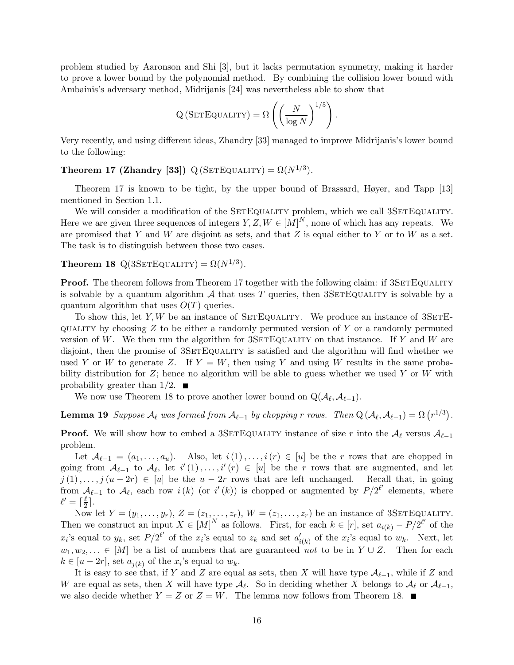problem studied by Aaronson and Shi [3], but it lacks permutation symmetry, making it harder to prove a lower bound by the polynomial method. By combining the collision lower bound with Ambainis's adversary method, Midrijanis [24] was nevertheless able to show that

$$
Q\left(SETEQUALITY\right) = \Omega\left(\left(\frac{N}{\log N}\right)^{1/5}\right).
$$

Very recently, and using different ideas, Zhandry [33] managed to improve Midrijanis's lower bound to the following:

**Theorem 17 (Zhandry [33])** Q (SETEQUALITY) =  $\Omega(N^{1/3})$ .

Theorem 17 is known to be tight, by the upper bound of Brassard, Høyer, and Tapp [13] mentioned in Section 1.1.

We will consider a modification of the SETEQUALITY problem, which we call 3SETEQUALITY. Here we are given three sequences of integers  $Y, Z, W \in [M]^N$ , none of which has any repeats. We are promised that Y and W are disjoint as sets, and that Z is equal either to Y or to W as a set. The task is to distinguish between those two cases.

### **Theorem 18** Q(3SETEQUALITY) =  $\Omega(N^{1/3})$ .

**Proof.** The theorem follows from Theorem 17 together with the following claim: if 3SETEQUALITY is solvable by a quantum algorithm  $A$  that uses  $T$  queries, then 3SETEQUALITY is solvable by a quantum algorithm that uses  $O(T)$  queries.

To show this, let  $Y, W$  be an instance of SETEQUALITY. We produce an instance of 3SETE $q$ UALITY by choosing  $Z$  to be either a randomly permuted version of Y or a randomly permuted version of W. We then run the algorithm for  $3SETEQUALITY$  on that instance. If Y and W are disjoint, then the promise of 3SETEQUALITY is satisfied and the algorithm will find whether we used Y or W to generate Z. If  $Y = W$ , then using Y and using W results in the same probability distribution for  $Z$ ; hence no algorithm will be able to guess whether we used  $Y$  or  $W$  with probability greater than  $1/2$ .

We now use Theorem 18 to prove another lower bound on  $Q(\mathcal{A}_{\ell}, \mathcal{A}_{\ell-1})$ .

**Lemma 19** Suppose  $\mathcal{A}_{\ell}$  was formed from  $\mathcal{A}_{\ell-1}$  by chopping r rows. Then  $Q(\mathcal{A}_{\ell}, \mathcal{A}_{\ell-1}) = \Omega(r^{1/3})$ .

**Proof.** We will show how to embed a 3SETEQUALITY instance of size r into the  $\mathcal{A}_{\ell}$  versus  $\mathcal{A}_{\ell-1}$ problem.

Let  $\mathcal{A}_{\ell-1} = (a_1, \ldots, a_u)$ . Also, let  $i(1), \ldots, i(r) \in [u]$  be the r rows that are chopped in going from  $\mathcal{A}_{\ell-1}$  to  $\mathcal{A}_{\ell}$ , let  $i'(1), \ldots, i'(r) \in [u]$  be the r rows that are augmented, and let  $j(1), \ldots, j(u-2r) \in [u]$  be the  $u-2r$  rows that are left unchanged. Recall that, in going from  $\mathcal{A}_{\ell-1}$  to  $\mathcal{A}_{\ell}$ , each row  $i(k)$  (or  $i'(k)$ ) is chopped or augmented by  $P/2^{\ell'}$  elements, where  $\ell' = \lceil \frac{\ell}{2} \rceil$  $\frac{\ell}{2}$ .

Now let  $Y = (y_1, \ldots, y_r)$ ,  $Z = (z_1, \ldots, z_r)$ ,  $W = (z_1, \ldots, z_r)$  be an instance of 3SETEQUALITY. Then we construct an input  $X \in [M]^N$  as follows. First, for each  $k \in [r]$ , set  $a_{i(k)} - P/2^{\ell'}$  of the  $x_i$ 's equal to  $y_k$ , set  $P/2^{\ell'}$  of the  $x_i$ 's equal to  $z_k$  and set  $a'_{i(k)}$  of the  $x_i$ 's equal to  $w_k$ . Next, let  $w_1, w_2, \ldots \in [M]$  be a list of numbers that are guaranteed not to be in  $Y \cup Z$ . Then for each  $k \in [u-2r]$ , set  $a_{j(k)}$  of the  $x_i$ 's equal to  $w_k$ .

It is easy to see that, if Y and Z are equal as sets, then X will have type  $\mathcal{A}_{\ell-1}$ , while if Z and W are equal as sets, then X will have type  $\mathcal{A}_{\ell}$ . So in deciding whether X belongs to  $\mathcal{A}_{\ell}$  or  $\mathcal{A}_{\ell-1}$ , we also decide whether  $Y = Z$  or  $Z = W$ . The lemma now follows from Theorem 18.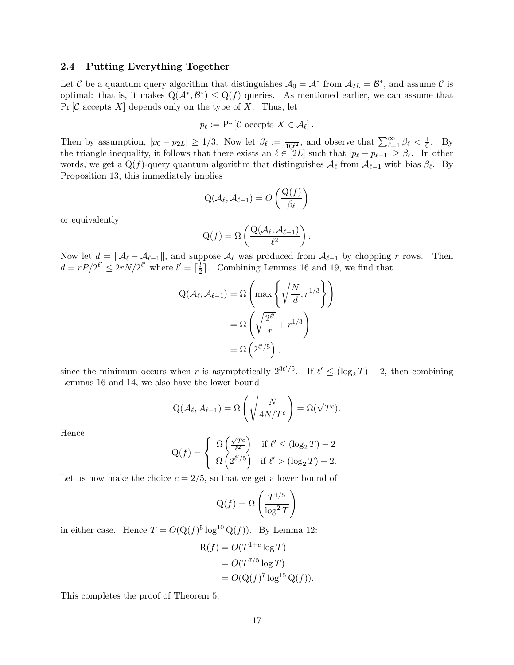### 2.4 Putting Everything Together

Let C be a quantum query algorithm that distinguishes  $A_0 = A^*$  from  $A_{2L} = B^*$ , and assume C is optimal: that is, it makes  $Q(A^*, B^*) \leq Q(f)$  queries. As mentioned earlier, we can assume that  $Pr[\mathcal{C} \text{ accepts } X]$  depends only on the type of X. Thus, let

$$
p_{\ell} := \Pr\left[\mathcal{C} \text{ accepts } X \in \mathcal{A}_{\ell}\right].
$$

Then by assumption,  $|p_0 - p_{2L}| \geq 1/3$ . Now let  $\beta_\ell := \frac{1}{10\ell^2}$ , and observe that  $\sum_{\ell=1}^\infty \beta_\ell < \frac{1}{6}$ . By the triangle inequality, it follows that there exists an  $\ell \in [2L]$  such that  $|p_{\ell} - p_{\ell-1}| \geq \beta_{\ell}$ . In other words, we get a Q(f)-query quantum algorithm that distinguishes  $A_{\ell}$  from  $A_{\ell-1}$  with bias  $\beta_{\ell}$ . By Proposition 13, this immediately implies

$$
Q(\mathcal{A}_{\ell}, \mathcal{A}_{\ell-1}) = O\left(\frac{Q(f)}{\beta_{\ell}}\right)
$$

or equivalently

$$
Q(f) = \Omega\left(\frac{Q(\mathcal{A}_{\ell}, \mathcal{A}_{\ell-1})}{\ell^2}\right).
$$

Now let  $d = ||\mathcal{A}_{\ell} - \mathcal{A}_{\ell-1}||$ , and suppose  $\mathcal{A}_{\ell}$  was produced from  $\mathcal{A}_{\ell-1}$  by chopping r rows. Then  $d = rP/2^{\ell'} \leq 2rN/2^{\ell'}$  where  $l' = \lceil \frac{\overline{l}}{2} \rceil$  $\frac{l}{2}$ . Combining Lemmas 16 and 19, we find that

$$
Q(\mathcal{A}_{\ell}, \mathcal{A}_{\ell-1}) = \Omega \left( \max \left\{ \sqrt{\frac{N}{d}}, r^{1/3} \right\} \right)
$$

$$
= \Omega \left( \sqrt{\frac{2^{\ell'}}{r}} + r^{1/3} \right)
$$

$$
= \Omega \left( 2^{\ell'/5} \right),
$$

since the minimum occurs when r is asymptotically  $2^{3\ell/5}$ . If  $\ell' \leq (\log_2 T) - 2$ , then combining Lemmas 16 and 14, we also have the lower bound

$$
Q(\mathcal{A}_{\ell}, \mathcal{A}_{\ell-1}) = \Omega\left(\sqrt{\frac{N}{4N/T^{c}}}\right) = \Omega(\sqrt{T^{c}}).
$$

Hence

$$
\mathcal{Q}(f) = \begin{cases} \Omega\left(\frac{\sqrt{T^c}}{\ell^2}\right) & \text{if } \ell' \le (\log_2 T) - 2\\ \Omega\left(2^{\ell'/5}\right) & \text{if } \ell' > (\log_2 T) - 2. \end{cases}
$$

Let us now make the choice  $c = 2/5$ , so that we get a lower bound of

$$
Q(f) = \Omega\left(\frac{T^{1/5}}{\log^2 T}\right)
$$

in either case. Hence  $T = O(Q(f)^5 \log^{10} Q(f))$ . By Lemma 12:

$$
R(f) = O(T^{1+c} \log T)
$$
  
= 
$$
O(T^{7/5} \log T)
$$
  
= 
$$
O(Q(f)^{7} \log^{15} Q(f)).
$$

This completes the proof of Theorem 5.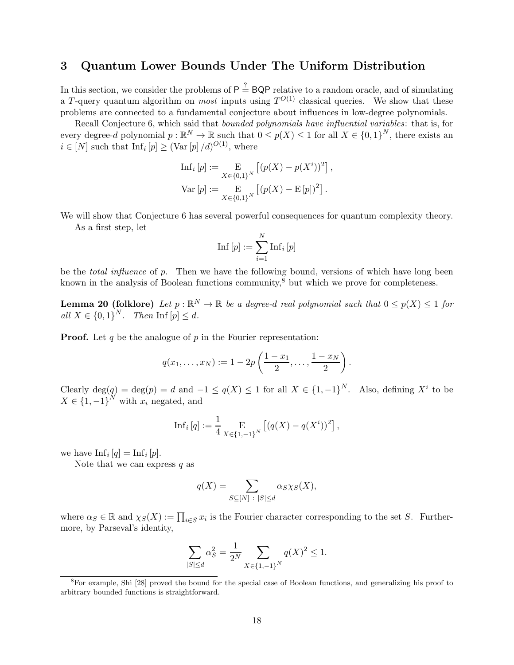# 3 Quantum Lower Bounds Under The Uniform Distribution

In this section, we consider the problems of  $P \stackrel{?}{=} BQP$  relative to a random oracle, and of simulating a T-query quantum algorithm on *most* inputs using  $T^{O(1)}$  classical queries. We show that these problems are connected to a fundamental conjecture about influences in low-degree polynomials.

Recall Conjecture 6, which said that *bounded polynomials have influential variables*: that is, for every degree-d polynomial  $p : \mathbb{R}^N \to \mathbb{R}$  such that  $0 \leq p(X) \leq 1$  for all  $X \in \{0,1\}^N$ , there exists an  $i \in [N]$  such that  $\text{Inf}_i[p] \geq (\text{Var}[p]/d)^{O(1)}$ , where

$$
\text{Inf}_i [p] := \mathop{\mathbf{E}}_{X \in \{0,1\}^N} [(p(X) - p(X^i))^2],
$$
  

$$
\text{Var}[p] := \mathop{\mathbf{E}}_{X \in \{0,1\}^N} [(p(X) - \mathop{\mathbf{E}}[p])^2].
$$

We will show that Conjecture 6 has several powerful consequences for quantum complexity theory. As a first step, let

$$
\mathrm{Inf}\left[p\right] := \sum_{i=1}^{N} \mathrm{Inf}_i\left[p\right]
$$

be the *total influence* of p. Then we have the following bound, versions of which have long been known in the analysis of Boolean functions community, $\delta$  but which we prove for completeness.

**Lemma 20 (folklore)** Let  $p : \mathbb{R}^N \to \mathbb{R}$  be a degree-d real polynomial such that  $0 \leq p(X) \leq 1$  for all  $X \in \{0,1\}^N$ . Then Inf  $[p] \leq d$ .

**Proof.** Let q be the analogue of  $p$  in the Fourier representation:

$$
q(x_1,...,x_N) := 1 - 2p\left(\frac{1-x_1}{2},\ldots,\frac{1-x_N}{2}\right).
$$

Clearly  $\deg(q) = \deg(p) = d$  and  $-1 \leq q(X) \leq 1$  for all  $X \in \{1, -1\}^N$ . Also, defining  $X^i$  to be  $X \in \{1, -1\}^N$  with  $x_i$  negated, and

Inf<sub>i</sub> [q] := 
$$
\frac{1}{4} \mathop{\mathbb{E}}_{X \in \{1,-1\}^N} [(q(X) - q(X^i))^2],
$$

we have  $\text{Inf}_i [q] = \text{Inf}_i [p].$ 

Note that we can express  $q$  as

$$
q(X) = \sum_{S \subseteq [N] \; : \; |S| \le d} \alpha_S \chi_S(X),
$$

where  $\alpha_S \in \mathbb{R}$  and  $\chi_S(X) := \prod_{i \in S} x_i$  is the Fourier character corresponding to the set S. Furthermore, by Parseval's identity,

$$
\sum_{|S| \le d} \alpha_S^2 = \frac{1}{2^N} \sum_{X \in \{1, -1\}^N} q(X)^2 \le 1.
$$

<sup>8</sup>For example, Shi [28] proved the bound for the special case of Boolean functions, and generalizing his proof to arbitrary bounded functions is straightforward.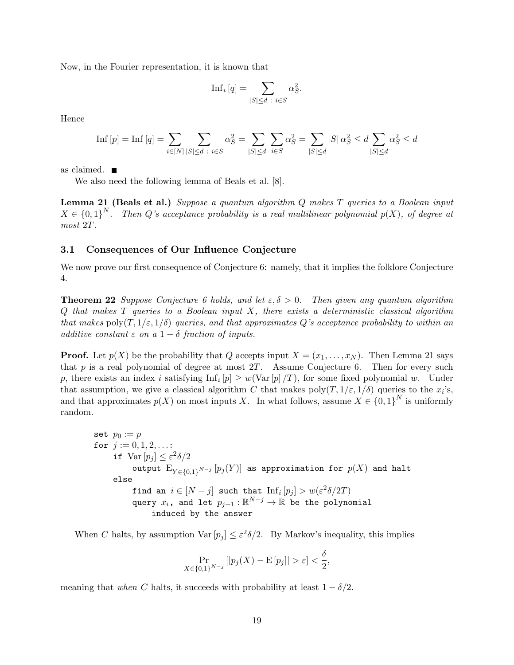Now, in the Fourier representation, it is known that

$$
\mathrm{Inf}_i\left[q\right] = \sum_{|S| \le d \; : \; i \in S} \alpha_S^2.
$$

Hence

$$
\text{Inf } [p] = \text{Inf } [q] = \sum_{i \in [N]} \sum_{|S| \le d} \sum_{i \in S} \alpha_S^2 = \sum_{|S| \le d} \sum_{i \in S} \alpha_S^2 = \sum_{|S| \le d} |S| \alpha_S^2 \le d \sum_{|S| \le d} \alpha_S^2 \le d
$$

as claimed.

We also need the following lemma of Beals et al. [8].

Lemma 21 (Beals et al.) Suppose a quantum algorithm Q makes T queries to a Boolean input  $X \in \{0,1\}^N$ . Then Q's acceptance probability is a real multilinear polynomial  $p(X)$ , of degree at most 2T.

### 3.1 Consequences of Our Influence Conjecture

We now prove our first consequence of Conjecture 6: namely, that it implies the folklore Conjecture 4.

**Theorem 22** Suppose Conjecture 6 holds, and let  $\varepsilon, \delta > 0$ . Then given any quantum algorithm  $Q$  that makes  $T$  queries to a Boolean input  $X$ , there exists a deterministic classical algorithm that makes  $\text{poly}(T, 1/\varepsilon, 1/\delta)$  queries, and that approximates Q's acceptance probability to within an additive constant  $\varepsilon$  on a  $1-\delta$  fraction of inputs.

**Proof.** Let  $p(X)$  be the probability that Q accepts input  $X = (x_1, \ldots, x_N)$ . Then Lemma 21 says that p is a real polynomial of degree at most  $2T$ . Assume Conjecture 6. Then for every such p, there exists an index *i* satisfying  $\text{Inf}_i[p] \geq w(\text{Var}[p]/T)$ , for some fixed polynomial w. Under that assumption, we give a classical algorithm C that makes  $poly(T, 1/\varepsilon, 1/\delta)$  queries to the  $x_i$ 's, and that approximates  $p(X)$  on most inputs X. In what follows, assume  $X \in \{0,1\}^N$  is uniformly random.

set 
$$
p_0 := p
$$
\nfor  $j := 0, 1, 2, \ldots$ :\n if  $\text{Var}[p_j] \leq \varepsilon^2 \delta/2$ \n output  $E_{Y \in \{0,1\}^{N-j}}[p_j(Y)]$  as approximation for  $p(X)$  and halt\n else\n find an  $i \in [N-j]$  such that  $\text{Inf}_i[p_j] > w(\varepsilon^2 \delta/2T)$ \n query  $x_i$ , and let  $p_{j+1} : \mathbb{R}^{N-j} \to \mathbb{R}$  be the polynomial\n induced by the answer

When C halts, by assumption  $\text{Var}[p_j] \leq \varepsilon^2 \delta/2$ . By Markov's inequality, this implies

$$
\Pr_{X \in \{0,1\}^{N-j}}[|p_j(X) - \mathrm{E}[p_j]| > \varepsilon] < \frac{\delta}{2},
$$

meaning that when C halts, it succeeds with probability at least  $1 - \delta/2$ .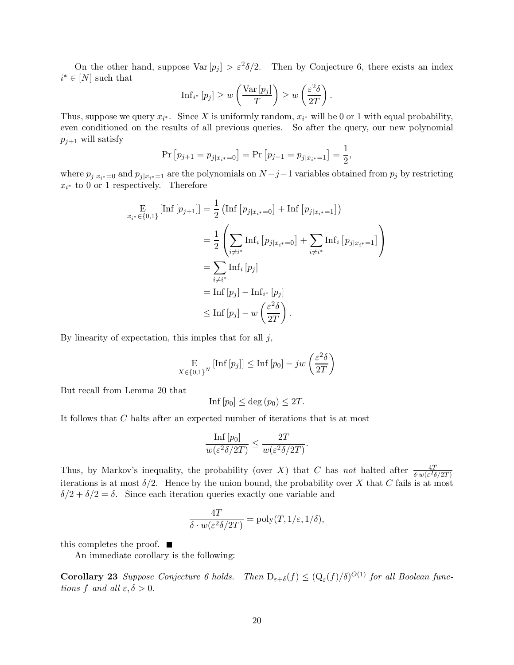On the other hand, suppose  $\text{Var}[p_j] > \varepsilon^2 \delta/2$ . Then by Conjecture 6, there exists an index  $i^* \in [N]$  such that

$$
\mathrm{Inf}_{i^*} \left[ p_j \right] \geq w \left( \frac{\mathrm{Var} \left[ p_j \right]}{T} \right) \geq w \left( \frac{\varepsilon^2 \delta}{2T} \right)
$$

.

Thus, suppose we query  $x_{i^*}$ . Since X is uniformly random,  $x_{i^*}$  will be 0 or 1 with equal probability, even conditioned on the results of all previous queries. So after the query, our new polynomial  $p_{j+1}$  will satisfy

$$
\Pr[p_{j+1} = p_{j|x_{i^*}=0}] = \Pr[p_{j+1} = p_{j|x_{i^*}=1}] = \frac{1}{2},
$$

where  $p_{j|x_{i}*}=0$  and  $p_{j|x_{i}*}=1$  are the polynomials on  $N-j-1$  variables obtained from  $p_{j}$  by restricting  $x_{i^*}$  to 0 or 1 respectively. Therefore

$$
\begin{aligned}\n\mathbf{E}_{x_i^* \in \{0,1\}} \left[ \text{Inf} \left[ p_{j+1} \right] \right] &= \frac{1}{2} \left( \text{Inf} \left[ p_{j|x_i^*=0} \right] + \text{Inf} \left[ p_{j|x_i^*=1} \right] \right) \\
&= \frac{1}{2} \left( \sum_{i \neq i^*} \text{Inf}_i \left[ p_{j|x_i^*=0} \right] + \sum_{i \neq i^*} \text{Inf}_i \left[ p_{j|x_i^*=1} \right] \right) \\
&= \sum_{i \neq i^*} \text{Inf}_i \left[ p_j \right] \\
&= \text{Inf} \left[ p_j \right] - \text{Inf}_{i^*} \left[ p_j \right] \\
&\leq \text{Inf} \left[ p_j \right] - w \left( \frac{\varepsilon^2 \delta}{2T} \right).\n\end{aligned}
$$

By linearity of expectation, this imples that for all  $j$ ,

$$
\mathop{\rm E}_{X \in \{0,1\}^N} [\text{Inf}\left[p_j\right]] \le \text{Inf}\left[p_0\right] - jw\left(\frac{\varepsilon^2 \delta}{2T}\right)
$$

But recall from Lemma 20 that

$$
Inf[p_0] \le \deg(p_0) \le 2T.
$$

It follows that C halts after an expected number of iterations that is at most

$$
\frac{\inf [p_0]}{w(\varepsilon^2 \delta / 2T)} \le \frac{2T}{w(\varepsilon^2 \delta / 2T)}
$$

.

Thus, by Markov's inequality, the probability (over X) that C has not halted after  $\frac{4T}{\delta \cdot w(\varepsilon^2 \delta/2T)}$ iterations is at most  $\delta/2$ . Hence by the union bound, the probability over X that C fails is at most  $\delta/2 + \delta/2 = \delta$ . Since each iteration queries exactly one variable and

$$
\frac{4T}{\delta \cdot w(\varepsilon^2 \delta/2T)} = \text{poly}(T, 1/\varepsilon, 1/\delta),
$$

this completes the proof.  $\blacksquare$ 

An immediate corollary is the following:

**Corollary 23** Suppose Conjecture 6 holds. Then  $D_{\varepsilon+\delta}(f) \leq (Q_{\varepsilon}(f)/\delta)^{O(1)}$  for all Boolean functions f and all  $\varepsilon, \delta > 0$ .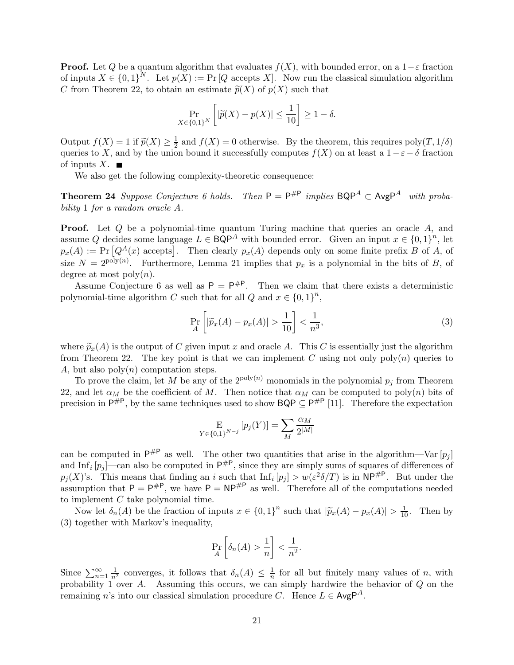**Proof.** Let Q be a quantum algorithm that evaluates  $f(X)$ , with bounded error, on a  $1-\varepsilon$  fraction of inputs  $X \in \{0,1\}^N$ . Let  $p(X) := \Pr[Q \text{ accepts } X]$ . Now run the classical simulation algorithm C from Theorem 22, to obtain an estimate  $\widetilde{p}(X)$  of  $p(X)$  such that

$$
\Pr_{X \in \{0,1\}^N} \left[ |\widetilde{p}(X) - p(X)| \le \frac{1}{10} \right] \ge 1 - \delta.
$$

Output  $f(X) = 1$  if  $\widetilde{p}(X) \geq \frac{1}{2}$  $\frac{1}{2}$  and  $f(X) = 0$  otherwise. By the theorem, this requires  $poly(T, 1/\delta)$ queries to X, and by the union bound it successfully computes  $f(X)$  on at least a  $1-\varepsilon-\delta$  fraction of inputs  $X$ .  $\blacksquare$ 

We also get the following complexity-theoretic consequence:

**Theorem 24** Suppose Conjecture 6 holds. Then  $P = P^{\#P}$  implies  $BQP^A \subset \text{AvgP}^A$  with probability 1 for a random oracle A.

**Proof.** Let Q be a polynomial-time quantum Turing machine that queries an oracle A, and assume Q decides some language  $L \in \mathsf{BQP}^A$  with bounded error. Given an input  $x \in \{0,1\}^n$ , let  $p_x(A) := \Pr\left[Q^A(x) \text{ accepts}\right]$ . Then clearly  $p_x(A)$  depends only on some finite prefix B of A, of size  $N = 2^{\text{poly}(n)}$ . Furthermore, Lemma 21 implies that  $p_x$  is a polynomial in the bits of B, of degree at most  $poly(n)$ .

Assume Conjecture 6 as well as  $P = P^{\#P}$ . Then we claim that there exists a deterministic polynomial-time algorithm C such that for all  $Q$  and  $x \in \{0,1\}^n$ ,

$$
\Pr_{A} \left[ |\widetilde{p}_x(A) - p_x(A)| > \frac{1}{10} \right] < \frac{1}{n^3},\tag{3}
$$

where  $\tilde{p}_x(A)$  is the output of C given input x and oracle A. This C is essentially just the algorithm from Theorem 22. The key point is that we can implement C using not only  $poly(n)$  queries to A, but also  $poly(n)$  computation steps.

To prove the claim, let M be any of the  $2^{poly(n)}$  monomials in the polynomial  $p_j$  from Theorem 22, and let  $\alpha_M$  be the coefficient of M. Then notice that  $\alpha_M$  can be computed to poly(n) bits of precision in  $P^{\#P}$ , by the same techniques used to show  $BQP \subseteq P^{\#P}$  [11]. Therefore the expectation

$$
\mathop{\mathbf{E}}_{Y \in \{0,1\}^{N-j}} [p_j(Y)] = \sum_{M} \frac{\alpha_M}{2^{|M|}}
$$

can be computed in  $P^{\#P}$  as well. The other two quantities that arise in the algorithm—Var  $[p_j]$ and Inf<sub>i</sub>  $[p_j]$ —can also be computed in  $P^{\#P}$ , since they are simply sums of squares of differences of  $p_j(X)$ 's. This means that finding an i such that  $\text{Inf}_i[p_j] > w(\varepsilon^2 \delta/T)$  is in  $\text{NP}^{\#P}$ . But under the assumption that  $P = P^{\#P}$ , we have  $P = NP^{\#P}$  as well. Therefore all of the computations needed to implement C take polynomial time.

Now let  $\delta_n(A)$  be the fraction of inputs  $x \in \{0,1\}^n$  such that  $|\widetilde{p}_x(A) - p_x(A)| > \frac{1}{10}$ . Then by (3) together with Markov's inequality,

$$
\Pr_{A}\left[\delta_n(A) > \frac{1}{n}\right] < \frac{1}{n^2}.
$$

Since  $\sum_{n=1}^{\infty} \frac{1}{n^2}$  converges, it follows that  $\delta_n(A) \leq \frac{1}{n}$  $\frac{1}{n}$  for all but finitely many values of *n*, with probability 1 over A. Assuming this occurs, we can simply hardwire the behavior of  $Q$  on the remaining n's into our classical simulation procedure C. Hence  $L \in \mathsf{AvgP}^A$ .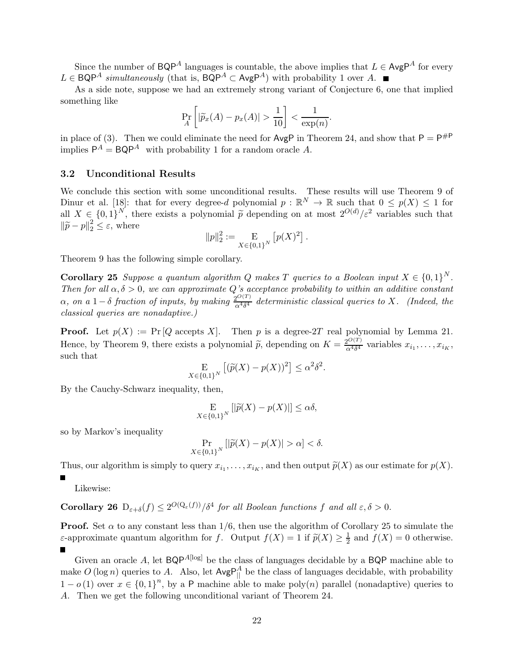Since the number of BQP<sup>A</sup> languages is countable, the above implies that  $L \in \mathsf{AvgP}^A$  for every  $L \in \mathsf{BQP}^A$  simultaneously (that is,  $\mathsf{BQP}^A \subset \mathsf{AvgP}^A$ ) with probability 1 over A. ■

As a side note, suppose we had an extremely strong variant of Conjecture 6, one that implied something like

$$
\Pr_{A}\left[|\widetilde{p}_x(A) - p_x(A)| > \frac{1}{10}\right] < \frac{1}{\exp(n)}.
$$

in place of (3). Then we could eliminate the need for  $\text{AvgP}$  in Theorem 24, and show that  $\text{P} = \text{P}^{\#P}$ implies  $P^A = BQP^A$  with probability 1 for a random oracle A.

#### 3.2 Unconditional Results

We conclude this section with some unconditional results. These results will use Theorem 9 of Dinur et al. [18]: that for every degree-d polynomial  $p : \mathbb{R}^N \to \mathbb{R}$  such that  $0 \leq p(X) \leq 1$  for all  $X \in \{0,1\}^N$ , there exists a polynomial  $\tilde{p}$  depending on at most  $2^{O(d)} / \varepsilon^2$  variables such that  $\|\widetilde{p} - p\|_2^2 \leq \varepsilon$ , where

$$
||p||_2^2 := \mathop{\bf E}_{X \in \{0,1\}^N} [p(X)^2].
$$

Theorem 9 has the following simple corollary.

**Corollary 25** Suppose a quantum algorithm Q makes T queries to a Boolean input  $X \in \{0,1\}^N$ . Then for all  $\alpha, \delta > 0$ , we can approximate Q's acceptance probability to within an additive constant  $\alpha$ , on a 1 –  $\delta$  fraction of inputs, by making  $\frac{2^{O(T)}}{\alpha^4 \delta^4}$  $\frac{\partial O(1)}{\partial \alpha^4 \delta^4}$  deterministic classical queries to X. (Indeed, the classical queries are nonadaptive.)

**Proof.** Let  $p(X) := \Pr[Q \text{ accepts } X]$ . Then p is a degree-2T real polynomial by Lemma 21. Hence, by Theorem 9, there exists a polynomial  $\tilde{p}$ , depending on  $K = \frac{2^{O(T)}}{\alpha^4 \delta^4}$  $\frac{\alpha^{4}\delta^{4}}{\alpha^{4}\delta^{4}}$  variables  $x_{i_1}, \ldots, x_{i_K}$ , such that

$$
\mathop{\rm E}_{X \in \{0,1\}^N} \left[ (\widetilde{p}(X) - p(X))^2 \right] \le \alpha^2 \delta^2.
$$

By the Cauchy-Schwarz inequality, then,

$$
\mathop{\rm E}_{X \in \{0,1\}^N} [|\widetilde{p}(X) - p(X)|] \le \alpha \delta,
$$

so by Markov's inequality

$$
\Pr_{X \in \{0,1\}^N} \left[ |\widetilde{p}(X) - p(X)| > \alpha \right] < \delta.
$$

Thus, our algorithm is simply to query  $x_{i_1}, \ldots, x_{i_K}$ , and then output  $\widetilde{p}(X)$  as our estimate for  $p(X)$ .

 $\blacksquare$ 

Likewise:

**Corollary 26**  $D_{\varepsilon+\delta}(f) \leq 2^{O(Q_{\varepsilon}(f))}/\delta^4$  for all Boolean functions f and all  $\varepsilon, \delta > 0$ .

**Proof.** Set  $\alpha$  to any constant less than 1/6, then use the algorithm of Corollary 25 to simulate the ε-approximate quantum algorithm for f. Output  $f(X) = 1$  if  $\tilde{p}(X) \ge \frac{1}{2}$  and  $f(X) = 0$  otherwise.

Given an oracle A, let  $BQP^{A[log]}$  be the class of languages decidable by a BQP machine able to make  $O(\log n)$  queries to A. Also, let  $AvgP_{\parallel}^A$  be the class of languages decidable, with probability  $1 - o(1)$  over  $x \in \{0,1\}^n$ , by a P machine able to make poly $(n)$  parallel (nonadaptive) queries to A. Then we get the following unconditional variant of Theorem 24.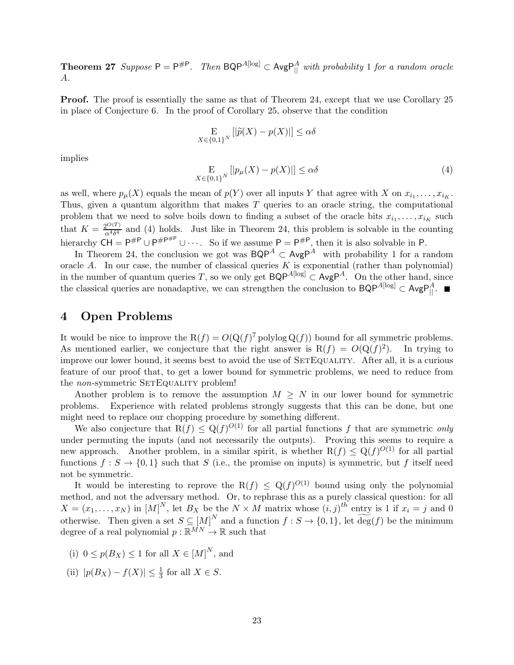**Theorem 27** Suppose  $P = P^{\#P}$ . Then  $BQP^{A[log]} \subset AvgP_{||}^A$  with probability 1 for a random oracle A.

**Proof.** The proof is essentially the same as that of Theorem 24, except that we use Corollary 25 in place of Conjecture 6. In the proof of Corollary 25, observe that the condition

$$
\mathop{\rm E}_{X \in \{0,1\}^N} [|\widetilde{p}(X) - p(X)|] \le \alpha \delta
$$

implies

$$
\underset{X \in \{0,1\}^N}{\mathcal{E}}\left[|p_{\mu}(X) - p(X)|\right] \le \alpha \delta \tag{4}
$$

as well, where  $p_{\mu}(X)$  equals the mean of  $p(Y)$  over all inputs Y that agree with X on  $x_{i_1}, \ldots, x_{i_K}$ . Thus, given a quantum algorithm that makes  $T$  queries to an oracle string, the computational problem that we need to solve boils down to finding a subset of the oracle bits  $x_{i_1}, \ldots, x_{i_K}$  such that  $K = \frac{2^{O(T)}}{2^{4\delta^4}}$  $\frac{\partial^{\mathcal{Q}(1)}}{\partial \mathcal{A}\delta^4}$  and (4) holds. Just like in Theorem 24, this problem is solvable in the counting hierarchy  $\overrightarrow{CH} = P^{\#P} \cup P^{\#P^{\#P}} \cup \cdots$ . So if we assume  $P = P^{\#P}$ , then it is also solvable in P.

In Theorem 24, the conclusion we got was  $\mathsf{BQP}^A \subset \mathsf{AvgP}^A$  with probability 1 for a random oracle A. In our case, the number of classical queries K is exponential (rather than polynomial) in the number of quantum queries T, so we only get  $BQP^{A[log]} \subset \text{AvgP}^A$ . On the other hand, since the classical queries are nonadaptive, we can strengthen the conclusion to  $BQP^{A[log]} \subset AvgP_{\parallel}^A$ .

## 4 Open Problems

It would be nice to improve the  $R(f) = O(Q(f)^{7})$  polylog  $Q(f)$  bound for all symmetric problems. As mentioned earlier, we conjecture that the right answer is  $R(f) = O(Q(f)^2)$ . In trying to improve our lower bound, it seems best to avoid the use of SETEQUALITY. After all, it is a curious feature of our proof that, to get a lower bound for symmetric problems, we need to reduce from the *non*-symmetric SETEQUALITY problem!

Another problem is to remove the assumption  $M \geq N$  in our lower bound for symmetric problems. Experience with related problems strongly suggests that this can be done, but one Experience with related problems strongly suggests that this can be done, but one might need to replace our chopping procedure by something different.

We also conjecture that  $R(f) \leq Q(f)^{O(1)}$  for all partial functions f that are symmetric only under permuting the inputs (and not necessarily the outputs). Proving this seems to require a new approach. Another problem, in a similar spirit, is whether  $R(f) \leq Q(f)^{O(1)}$  for all partial functions  $f: S \to \{0,1\}$  such that S (i.e., the promise on inputs) is symmetric, but f itself need not be symmetric.

It would be interesting to reprove the  $R(f) \leq Q(f)^{O(1)}$  bound using only the polynomial method, and not the adversary method. Or, to rephrase this as a purely classical question: for all  $X = (x_1, \ldots, x_N)$  in  $[M]^N$ , let  $B_X$  be the  $N \times M$  matrix whose  $(i, j)^{th}$  entry is 1 if  $x_i = j$  and 0 otherwise. Then given a set  $S \subseteq [M]^N$  and a function  $f : S \to \{0,1\}$ , let  $\widetilde{\deg}(f)$  be the minimum degree of a real polynomial  $p : \mathbb{R}^{MN} \to \mathbb{R}$  such that

- (i)  $0 \le p(B_X) \le 1$  for all  $X \in [M]^N$ , and
- (ii)  $|p(B_X) f(X)| \le \frac{1}{3}$  for all  $X \in S$ .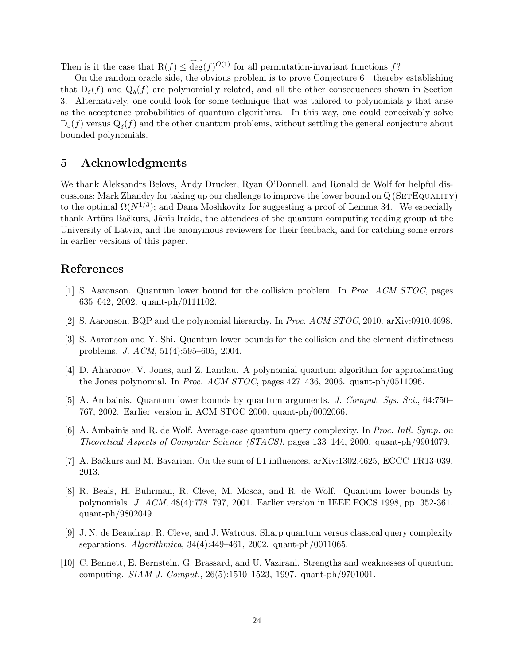Then is it the case that  $R(f) \leq \deg(f)^{O(1)}$  for all permutation-invariant functions f?

On the random oracle side, the obvious problem is to prove Conjecture 6—thereby establishing that  $D_{\varepsilon}(f)$  and  $Q_{\delta}(f)$  are polynomially related, and all the other consequences shown in Section 3. Alternatively, one could look for some technique that was tailored to polynomials p that arise as the acceptance probabilities of quantum algorithms. In this way, one could conceivably solve  $D_{\varepsilon}(f)$  versus  $Q_{\delta}(f)$  and the other quantum problems, without settling the general conjecture about bounded polynomials.

## 5 Acknowledgments

We thank Aleksandrs Belovs, Andy Drucker, Ryan O'Donnell, and Ronald de Wolf for helpful discussions; Mark Zhandry for taking up our challenge to improve the lower bound on Q (SETEQUALITY) to the optimal  $\Omega(N^{1/3})$ ; and Dana Moshkovitz for suggesting a proof of Lemma 34. We especially thank Artūrs Bačkurs, Jānis Iraids, the attendees of the quantum computing reading group at the University of Latvia, and the anonymous reviewers for their feedback, and for catching some errors in earlier versions of this paper.

# References

- [1] S. Aaronson. Quantum lower bound for the collision problem. In Proc. ACM STOC, pages 635–642, 2002. quant-ph/0111102.
- [2] S. Aaronson. BQP and the polynomial hierarchy. In Proc. ACM STOC, 2010. arXiv:0910.4698.
- [3] S. Aaronson and Y. Shi. Quantum lower bounds for the collision and the element distinctness problems. J. ACM, 51(4):595–605, 2004.
- [4] D. Aharonov, V. Jones, and Z. Landau. A polynomial quantum algorithm for approximating the Jones polynomial. In Proc. ACM STOC, pages 427–436, 2006. quant-ph/0511096.
- [5] A. Ambainis. Quantum lower bounds by quantum arguments. J. Comput. Sys. Sci., 64:750– 767, 2002. Earlier version in ACM STOC 2000. quant-ph/0002066.
- [6] A. Ambainis and R. de Wolf. Average-case quantum query complexity. In Proc. Intl. Symp. on Theoretical Aspects of Computer Science (STACS), pages 133–144, 2000. quant-ph/9904079.
- [7] A. Bačkurs and M. Bavarian. On the sum of L1 influences. arXiv:1302.4625, ECCC TR13-039. 2013.
- [8] R. Beals, H. Buhrman, R. Cleve, M. Mosca, and R. de Wolf. Quantum lower bounds by polynomials. J. ACM, 48(4):778–797, 2001. Earlier version in IEEE FOCS 1998, pp. 352-361. quant-ph/9802049.
- [9] J. N. de Beaudrap, R. Cleve, and J. Watrous. Sharp quantum versus classical query complexity separations. Algorithmica, 34(4):449–461, 2002. quant-ph/0011065.
- [10] C. Bennett, E. Bernstein, G. Brassard, and U. Vazirani. Strengths and weaknesses of quantum computing. SIAM J. Comput., 26(5):1510–1523, 1997. quant-ph/9701001.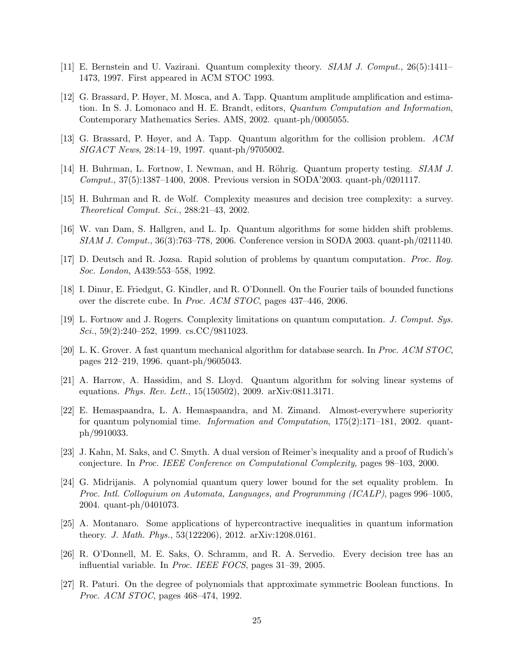- [11] E. Bernstein and U. Vazirani. Quantum complexity theory. SIAM J. Comput., 26(5):1411– 1473, 1997. First appeared in ACM STOC 1993.
- [12] G. Brassard, P. Høyer, M. Mosca, and A. Tapp. Quantum amplitude amplification and estimation. In S. J. Lomonaco and H. E. Brandt, editors, Quantum Computation and Information, Contemporary Mathematics Series. AMS, 2002. quant-ph/0005055.
- [13] G. Brassard, P. Høyer, and A. Tapp. Quantum algorithm for the collision problem. ACM SIGACT News, 28:14–19, 1997. quant-ph/9705002.
- [14] H. Buhrman, L. Fortnow, I. Newman, and H. Röhrig. Quantum property testing. SIAM J. Comput., 37(5):1387–1400, 2008. Previous version in SODA'2003. quant-ph/0201117.
- [15] H. Buhrman and R. de Wolf. Complexity measures and decision tree complexity: a survey. Theoretical Comput. Sci., 288:21–43, 2002.
- [16] W. van Dam, S. Hallgren, and L. Ip. Quantum algorithms for some hidden shift problems. SIAM J. Comput., 36(3):763–778, 2006. Conference version in SODA 2003. quant-ph/0211140.
- [17] D. Deutsch and R. Jozsa. Rapid solution of problems by quantum computation. Proc. Roy. Soc. London, A439:553–558, 1992.
- [18] I. Dinur, E. Friedgut, G. Kindler, and R. O'Donnell. On the Fourier tails of bounded functions over the discrete cube. In Proc. ACM STOC, pages 437–446, 2006.
- [19] L. Fortnow and J. Rogers. Complexity limitations on quantum computation. J. Comput. Sys. Sci., 59(2):240–252, 1999. cs.CC/9811023.
- [20] L. K. Grover. A fast quantum mechanical algorithm for database search. In Proc. ACM STOC, pages 212–219, 1996. quant-ph/9605043.
- [21] A. Harrow, A. Hassidim, and S. Lloyd. Quantum algorithm for solving linear systems of equations. Phys. Rev. Lett., 15(150502), 2009. arXiv:0811.3171.
- [22] E. Hemaspaandra, L. A. Hemaspaandra, and M. Zimand. Almost-everywhere superiority for quantum polynomial time. *Information and Computation*,  $175(2)$ :171–181, 2002. quantph/9910033.
- [23] J. Kahn, M. Saks, and C. Smyth. A dual version of Reimer's inequality and a proof of Rudich's conjecture. In Proc. IEEE Conference on Computational Complexity, pages 98–103, 2000.
- [24] G. Midrijanis. A polynomial quantum query lower bound for the set equality problem. In Proc. Intl. Colloquium on Automata, Languages, and Programming (ICALP), pages 996–1005, 2004. quant-ph/0401073.
- [25] A. Montanaro. Some applications of hypercontractive inequalities in quantum information theory. J. Math. Phys., 53(122206), 2012. arXiv:1208.0161.
- [26] R. O'Donnell, M. E. Saks, O. Schramm, and R. A. Servedio. Every decision tree has an influential variable. In Proc. IEEE FOCS, pages 31–39, 2005.
- [27] R. Paturi. On the degree of polynomials that approximate symmetric Boolean functions. In Proc. ACM STOC, pages 468–474, 1992.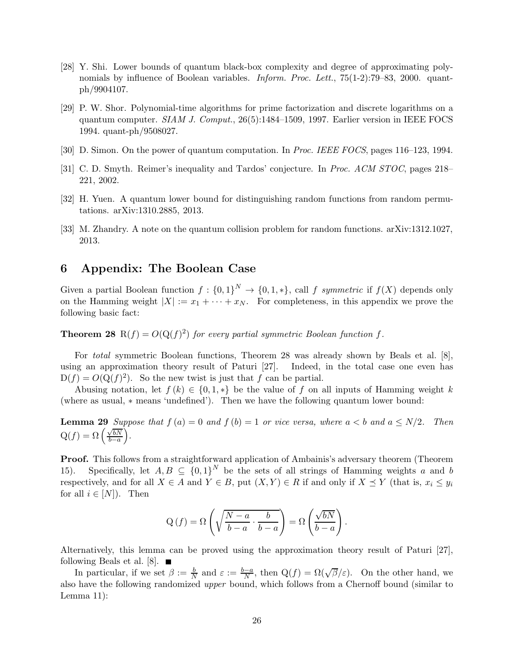- [28] Y. Shi. Lower bounds of quantum black-box complexity and degree of approximating polynomials by influence of Boolean variables. *Inform. Proc. Lett.*, 75(1-2):79–83, 2000. quantph/9904107.
- [29] P. W. Shor. Polynomial-time algorithms for prime factorization and discrete logarithms on a quantum computer. SIAM J. Comput., 26(5):1484–1509, 1997. Earlier version in IEEE FOCS 1994. quant-ph/9508027.
- [30] D. Simon. On the power of quantum computation. In Proc. IEEE FOCS, pages 116–123, 1994.
- [31] C. D. Smyth. Reimer's inequality and Tardos' conjecture. In Proc. ACM STOC, pages 218– 221, 2002.
- [32] H. Yuen. A quantum lower bound for distinguishing random functions from random permutations. arXiv:1310.2885, 2013.
- [33] M. Zhandry. A note on the quantum collision problem for random functions. arXiv:1312.1027, 2013.

### 6 Appendix: The Boolean Case

Given a partial Boolean function  $f: \{0,1\}^N \to \{0,1,*\}$ , call f symmetric if  $f(X)$  depends only on the Hamming weight  $|X| := x_1 + \cdots + x_N$ . For completeness, in this appendix we prove the following basic fact:

**Theorem 28** R(f) =  $O(Q(f)^2)$  for every partial symmetric Boolean function f.

For total symmetric Boolean functions, Theorem 28 was already shown by Beals et al. [8], using an approximation theory result of Paturi [27]. Indeed, in the total case one even has  $D(f) = O(Q(f)^2)$ . So the new twist is just that f can be partial.

Abusing notation, let  $f(k) \in \{0,1,*\}$  be the value of f on all inputs of Hamming weight k (where as usual, ∗ means 'undefined'). Then we have the following quantum lower bound:

**Lemma 29** Suppose that  $f(a) = 0$  and  $f(b) = 1$  or vice versa, where  $a < b$  and  $a \le N/2$ . Then  $Q(f) = \Omega\left(\frac{\sqrt{bN}}{b-a}\right)$  $_{b-a}$  $\big)$  .

Proof. This follows from a straightforward application of Ambainis's adversary theorem (Theorem 15). Specifically, let  $A, B \subseteq \{0,1\}^N$  be the sets of all strings of Hamming weights a and b respectively, and for all  $X \in A$  and  $Y \in B$ , put  $(X, Y) \in R$  if and only if  $X \preceq Y$  (that is,  $x_i \leq y_i$ ) for all  $i \in [N]$ . Then

$$
Q(f) = \Omega \left( \sqrt{\frac{N-a}{b-a} \cdot \frac{b}{b-a}} \right) = \Omega \left( \frac{\sqrt{bN}}{b-a} \right).
$$

Alternatively, this lemma can be proved using the approximation theory result of Paturi [27], following Beals et al.  $[8]$ .

In particular, if we set  $\beta := \frac{b}{N}$  and  $\varepsilon := \frac{b-a}{N}$ , then  $Q(f) = \Omega(\sqrt{\beta}/\varepsilon)$ . On the other hand, we also have the following randomized upper bound, which follows from a Chernoff bound (similar to Lemma 11):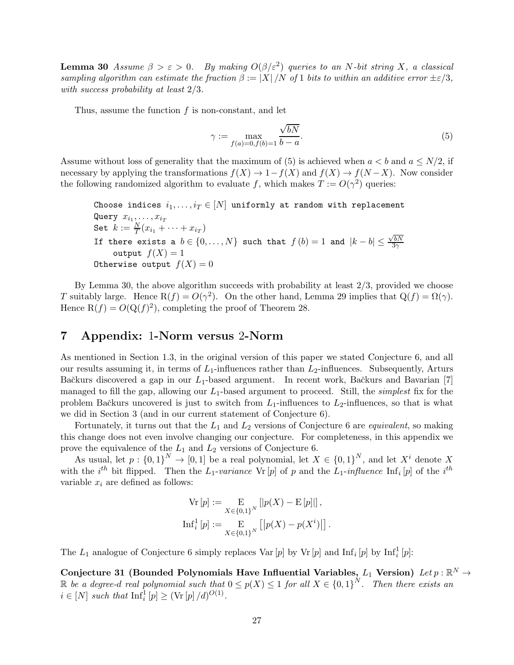**Lemma 30** Assume  $\beta > \varepsilon > 0$ . By making  $O(\beta/\varepsilon^2)$  queries to an N-bit string X, a classical sampling algorithm can estimate the fraction  $\beta := |X|/N$  of 1 bits to within an additive error  $\pm \varepsilon/3$ , with success probability at least 2/3.

Thus, assume the function  $f$  is non-constant, and let

$$
\gamma := \max_{f(a)=0, f(b)=1} \frac{\sqrt{bN}}{b-a}.\tag{5}
$$

Assume without loss of generality that the maximum of (5) is achieved when  $a < b$  and  $a \le N/2$ , if necessary by applying the transformations  $f(X) \to 1-f(X)$  and  $f(X) \to f(N-X)$ . Now consider the following randomized algorithm to evaluate f, which makes  $T := O(\gamma^2)$  queries:

Choose indices  $i_1, \ldots, i_T \in [N]$  uniformly at random with replacement Query  $x_{i_1}, \ldots, x_{i_T}$ Set  $k := \frac{N}{T}(x_{i_1} + \cdots + x_{i_T})$ If there exists a  $b \in \{0, ..., N\}$  such that  $f(b) = 1$  and  $|k - b| \leq \frac{\sqrt{bN}}{3\gamma}$  $3\gamma$ output  $f(X) = 1$ Otherwise output  $f(X) = 0$ 

By Lemma 30, the above algorithm succeeds with probability at least  $2/3$ , provided we choose T suitably large. Hence  $R(f) = O(\gamma^2)$ . On the other hand, Lemma 29 implies that  $Q(f) = \Omega(\gamma)$ . Hence  $R(f) = O(Q(f)^2)$ , completing the proof of Theorem 28.

## 7 Appendix: 1-Norm versus 2-Norm

As mentioned in Section 1.3, in the original version of this paper we stated Conjecture 6, and all our results assuming it, in terms of  $L_1$ -influences rather than  $L_2$ -influences. Subsequently, Arturs Bačkurs discovered a gap in our  $L_1$ -based argument. In recent work, Bačkurs and Bavarian [7] managed to fill the gap, allowing our  $L_1$ -based argument to proceed. Still, the *simplest* fix for the problem Bačkurs uncovered is just to switch from  $L_1$ -influences to  $L_2$ -influences, so that is what we did in Section 3 (and in our current statement of Conjecture 6).

Fortunately, it turns out that the  $L_1$  and  $L_2$  versions of Conjecture 6 are *equivalent*, so making this change does not even involve changing our conjecture. For completeness, in this appendix we prove the equivalence of the  $L_1$  and  $L_2$  versions of Conjecture 6.

As usual, let  $p: \{0,1\}^N \to [0,1]$  be a real polynomial, let  $X \in \{0,1\}^N$ , and let  $X^i$  denote X with the *i*<sup>th</sup> bit flipped. Then the  $L_1$ -variance Vr [p] of p and the  $L_1$ -influence Inf<sub>i</sub> [p] of the *i*<sup>th</sup> variable  $x_i$  are defined as follows:

$$
\operatorname{Vr}[p] := \mathop{\mathbf{E}}_{X \in \{0,1\}^N} [|p(X) - \mathop{\mathbf{E}}[p]]],
$$
  

$$
\operatorname{Inf}_i^1[p] := \mathop{\mathbf{E}}_{X \in \{0,1\}^N} [|p(X) - p(X^i)|].
$$

The  $L_1$  analogue of Conjecture 6 simply replaces Var [p] by Vr [p] and Inf<sub>i</sub> [p] by Inf<sub>i</sub> [p]:

Conjecture 31 (Bounded Polynomials Have Influential Variables,  $L_1$  Version)  $Let p : \mathbb{R}^N \to$ R be a degree-d real polynomial such that  $0 \leq p(X) \leq 1$  for all  $X \in \{0,1\}^N$ . Then there exists an  $i \in [N]$  such that  $\mathrm{Inf}_i^1[p] \geq (\mathrm{Vr}[p]/d)^{O(1)}$ .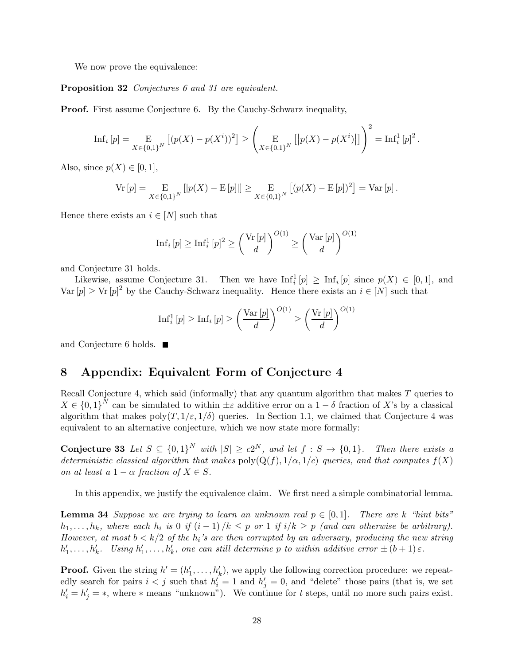We now prove the equivalence:

Proposition 32 Conjectures 6 and 31 are equivalent.

Proof. First assume Conjecture 6. By the Cauchy-Schwarz inequality,

Inf<sub>i</sub> 
$$
[p] = \underset{X \in \{0,1\}^N}{E} [(p(X) - p(X^i))^2] \ge \left( \underset{X \in \{0,1\}^N}{E} [|p(X) - p(X^i)|] \right)^2 = \text{Inf}_i^1 [p]^2.
$$

Also, since  $p(X) \in [0,1]$ ,

$$
Vr[p] = \underset{X \in \{0,1\}^N}{E} [|p(X) - E[p]|] \geq \underset{X \in \{0,1\}^N}{E} [(p(X) - E[p])^2] = Var[p].
$$

Hence there exists an  $i \in [N]$  such that

$$
\mathrm{Inf}_i\left[p\right] \ge \mathrm{Inf}_i^1\left[p\right]^2 \ge \left(\frac{\mathrm{Vr}\left[p\right]}{d}\right)^{O(1)} \ge \left(\frac{\mathrm{Var}\left[p\right]}{d}\right)^{O(1)}
$$

and Conjecture 31 holds.

Likewise, assume Conjecture 31. Then we have  $\text{Inf}_i^1[p] \ge \text{Inf}_i[p]$  since  $p(X) \in [0,1]$ , and Var  $[p] \geq Vr [p]^2$  by the Cauchy-Schwarz inequality. Hence there exists an  $i \in [N]$  such that

$$
\mathrm{Inf}_{i}^{1}[p] \geq \mathrm{Inf}_{i}[p] \geq \left(\frac{\mathrm{Var}\left[p\right]}{d}\right)^{O(1)} \geq \left(\frac{\mathrm{Vr}\left[p\right]}{d}\right)^{O(1)}
$$

and Conjecture 6 holds.

## 8 Appendix: Equivalent Form of Conjecture 4

Recall Conjecture 4, which said (informally) that any quantum algorithm that makes T queries to  $X \in \{0,1\}^N$  can be simulated to within  $\pm \varepsilon$  additive error on a  $1-\delta$  fraction of X's by a classical algorithm that makes  $poly(T, 1/\varepsilon, 1/\delta)$  queries. In Section 1.1, we claimed that Conjecture 4 was equivalent to an alternative conjecture, which we now state more formally:

**Conjecture 33** Let  $S \subseteq \{0,1\}^N$  with  $|S| \ge c2^N$ , and let  $f : S \to \{0,1\}$ . Then there exists a deterministic classical algorithm that makes  $poly(Q(f), 1/\alpha, 1/c)$  queries, and that computes  $f(X)$ on at least a  $1 - \alpha$  fraction of  $X \in S$ .

In this appendix, we justify the equivalence claim. We first need a simple combinatorial lemma.

**Lemma 34** Suppose we are trying to learn an unknown real  $p \in [0,1]$ . There are k "hint bits"  $h_1, \ldots, h_k$ , where each  $h_i$  is 0 if  $(i-1)/k \leq p$  or 1 if  $i/k \geq p$  (and can otherwise be arbitrary). However, at most  $b < k/2$  of the  $h_i$ 's are then corrupted by an adversary, producing the new string  $h'_1,\ldots,h'_k$ . Using  $h'_1,\ldots,h'_k$ , one can still determine p to within additive error  $\pm (b+1)\varepsilon$ .

**Proof.** Given the string  $h' = (h'_1, \ldots, h'_k)$ , we apply the following correction procedure: we repeatedly search for pairs  $i < j$  such that  $h'_i = 1$  and  $h'_j = 0$ , and "delete" those pairs (that is, we set  $h'_i = h'_j = *$ , where \* means "unknown"). We continue for t steps, until no more such pairs exist.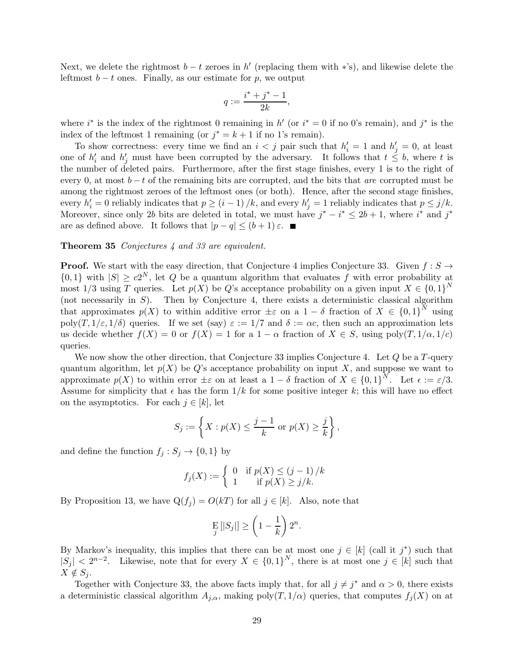Next, we delete the rightmost  $b - t$  zeroes in h' (replacing them with \*'s), and likewise delete the leftmost  $b - t$  ones. Finally, as our estimate for p, we output

$$
q := \frac{i^* + j^* - 1}{2k},
$$

where  $i^*$  is the index of the rightmost 0 remaining in h' (or  $i^* = 0$  if no 0's remain), and  $j^*$  is the index of the leftmost 1 remaining (or  $j^* = k + 1$  if no 1's remain).

To show correctness: every time we find an  $i < j$  pair such that  $h'_i = 1$  and  $h'_j = 0$ , at least one of  $h'_i$  and  $h'_j$  must have been corrupted by the adversary. It follows that  $t \leq b$ , where t is the number of deleted pairs. Furthermore, after the first stage finishes, every 1 is to the right of every 0, at most  $b - t$  of the remaining bits are corrupted, and the bits that are corrupted must be among the rightmost zeroes of the leftmost ones (or both). Hence, after the second stage finishes, every  $h'_i = 0$  reliably indicates that  $p \ge (i - 1) / k$ , and every  $h'_j = 1$  reliably indicates that  $p \le j / k$ . Moreover, since only 2b bits are deleted in total, we must have  $j^* - i^* \leq 2b + 1$ , where  $i^*$  and  $j^*$ are as defined above. It follows that  $|p-q| \leq (b+1)\varepsilon$ .

#### Theorem 35 Conjectures 4 and 33 are equivalent.

**Proof.** We start with the easy direction, that Conjecture 4 implies Conjecture 33. Given  $f : S \rightarrow$  $\{0,1\}$  with  $|S| \ge c2^N$ , let Q be a quantum algorithm that evaluates f with error probability at most 1/3 using T queries. Let  $p(X)$  be Q's acceptance probability on a given input  $X \in \{0,1\}^N$ (not necessarily in  $S$ ). Then by Conjecture 4, there exists a deterministic classical algorithm that approximates  $p(X)$  to within additive error  $\pm \varepsilon$  on a  $1-\delta$  fraction of  $X \in \{0,1\}^N$  using poly $(T, 1/\varepsilon, 1/\delta)$  queries. If we set (say)  $\varepsilon := 1/7$  and  $\delta := \alpha c$ , then such an approximation lets us decide whether  $f(X) = 0$  or  $f(X) = 1$  for a  $1 - \alpha$  fraction of  $X \in S$ , using poly $(T, 1/\alpha, 1/c)$ queries.

We now show the other direction, that Conjecture 33 implies Conjecture 4. Let  $Q$  be a  $T$ -query quantum algorithm, let  $p(X)$  be Q's acceptance probability on input X, and suppose we want to approximate  $p(X)$  to within error  $\pm \varepsilon$  on at least a  $1-\delta$  fraction of  $X \in \{0,1\}^N$ . Let  $\epsilon := \varepsilon/3$ . Assume for simplicity that  $\epsilon$  has the form  $1/k$  for some positive integer k; this will have no effect on the asymptotics. For each  $j \in [k]$ , let

$$
S_j := \left\{ X : p(X) \le \frac{j-1}{k} \text{ or } p(X) \ge \frac{j}{k} \right\},\
$$

and define the function  $f_j : S_j \to \{0,1\}$  by

$$
f_j(X) := \begin{cases} 0 & \text{if } p(X) \le (j-1)/k \\ 1 & \text{if } p(X) \ge j/k. \end{cases}
$$

By Proposition 13, we have  $Q(f_j) = O(kT)$  for all  $j \in [k]$ . Also, note that

$$
\mathop{\mathbf{E}}_j\left[|S_j|\right] \ge \left(1 - \frac{1}{k}\right)2^n.
$$

By Markov's inequality, this implies that there can be at most one  $j \in [k]$  (call it  $j^*$ ) such that  $|S_j| < 2^{n-2}$ . Likewise, note that for every  $X \in \{0,1\}^N$ , there is at most one  $j \in [k]$  such that  $X \notin S_i$ .

Together with Conjecture 33, the above facts imply that, for all  $j \neq j^*$  and  $\alpha > 0$ , there exists a deterministic classical algorithm  $A_{j,\alpha}$ , making poly $(T, 1/\alpha)$  queries, that computes  $f_j(X)$  on at